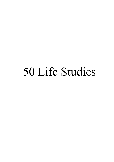# 50 Life Studies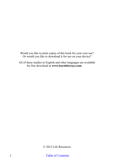Would you like to print copies of this book for your own use? Or would you like to download it for use on your device?

All of these studies in English and other languages are available for free download at **www.learnhisways.com**.

© 2012 Life Resources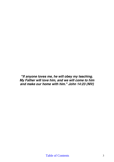*"If anyone loves me, he will obey my teaching. My Father will love him, and we will come to him and make our home with him." John 14:23 (NIV)*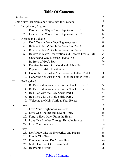|     | Introduction<br>Bible Study Principles and Guidelines for Leaders<br>I.<br><b>Introductory Studies</b><br>Discover the Way of True Happiness: Part 1<br>1.<br>2.<br>Discover the Way of True Happiness: Part 2<br>Repent and Believe<br>3.<br>Don't Trust in Your Own Righteousness<br>$\overline{4}$<br>Believe in Jesus' Death For Your Sin: Part 1<br>5.<br>Believe in Jesus' Death For Your Sin: Part 2<br>6.<br>Believe in Jesus' Resurrection and Receive Eternal Life<br>7.<br>Understand Why Messiah Had to Die<br>8.<br>Be Born of God's Spirit<br>Receive the Word in a Good and Noble Heart<br>9.<br>10. Repent and Make Restitution<br>11. Honor the Son Just as You Honor the Father: Part 1<br>12. Honor the Son Just as You Honor the Father: Part 2<br>Be Baptized |                                                      |    |  |  |
|-----|------------------------------------------------------------------------------------------------------------------------------------------------------------------------------------------------------------------------------------------------------------------------------------------------------------------------------------------------------------------------------------------------------------------------------------------------------------------------------------------------------------------------------------------------------------------------------------------------------------------------------------------------------------------------------------------------------------------------------------------------------------------------------------|------------------------------------------------------|----|--|--|
|     |                                                                                                                                                                                                                                                                                                                                                                                                                                                                                                                                                                                                                                                                                                                                                                                    |                                                      |    |  |  |
|     |                                                                                                                                                                                                                                                                                                                                                                                                                                                                                                                                                                                                                                                                                                                                                                                    |                                                      |    |  |  |
|     |                                                                                                                                                                                                                                                                                                                                                                                                                                                                                                                                                                                                                                                                                                                                                                                    |                                                      | 12 |  |  |
|     |                                                                                                                                                                                                                                                                                                                                                                                                                                                                                                                                                                                                                                                                                                                                                                                    |                                                      | 14 |  |  |
| II. |                                                                                                                                                                                                                                                                                                                                                                                                                                                                                                                                                                                                                                                                                                                                                                                    |                                                      |    |  |  |
|     |                                                                                                                                                                                                                                                                                                                                                                                                                                                                                                                                                                                                                                                                                                                                                                                    |                                                      | 18 |  |  |
|     |                                                                                                                                                                                                                                                                                                                                                                                                                                                                                                                                                                                                                                                                                                                                                                                    |                                                      | 20 |  |  |
|     |                                                                                                                                                                                                                                                                                                                                                                                                                                                                                                                                                                                                                                                                                                                                                                                    |                                                      | 22 |  |  |
|     |                                                                                                                                                                                                                                                                                                                                                                                                                                                                                                                                                                                                                                                                                                                                                                                    |                                                      | 24 |  |  |
|     |                                                                                                                                                                                                                                                                                                                                                                                                                                                                                                                                                                                                                                                                                                                                                                                    |                                                      | 26 |  |  |
|     |                                                                                                                                                                                                                                                                                                                                                                                                                                                                                                                                                                                                                                                                                                                                                                                    |                                                      | 30 |  |  |
|     |                                                                                                                                                                                                                                                                                                                                                                                                                                                                                                                                                                                                                                                                                                                                                                                    |                                                      | 32 |  |  |
|     |                                                                                                                                                                                                                                                                                                                                                                                                                                                                                                                                                                                                                                                                                                                                                                                    |                                                      | 34 |  |  |
|     |                                                                                                                                                                                                                                                                                                                                                                                                                                                                                                                                                                                                                                                                                                                                                                                    |                                                      | 36 |  |  |
|     |                                                                                                                                                                                                                                                                                                                                                                                                                                                                                                                                                                                                                                                                                                                                                                                    |                                                      | 38 |  |  |
| Ш.  |                                                                                                                                                                                                                                                                                                                                                                                                                                                                                                                                                                                                                                                                                                                                                                                    |                                                      |    |  |  |
|     |                                                                                                                                                                                                                                                                                                                                                                                                                                                                                                                                                                                                                                                                                                                                                                                    | 13. Be Baptized in Water and Live a New Life: Part 1 | 42 |  |  |
|     |                                                                                                                                                                                                                                                                                                                                                                                                                                                                                                                                                                                                                                                                                                                                                                                    | 14. Be Baptized in Water and Live a New Life: Part 2 | 44 |  |  |
|     |                                                                                                                                                                                                                                                                                                                                                                                                                                                                                                                                                                                                                                                                                                                                                                                    | 15. Be Filled with the Holy Spirit: Part 1           | 47 |  |  |
|     |                                                                                                                                                                                                                                                                                                                                                                                                                                                                                                                                                                                                                                                                                                                                                                                    | 16. Be Filled with the Holy Spirit: Part 2           | 50 |  |  |
|     |                                                                                                                                                                                                                                                                                                                                                                                                                                                                                                                                                                                                                                                                                                                                                                                    | 17. Welcome the Holy Spirit as Your Helper           | 52 |  |  |
| IV. | Love                                                                                                                                                                                                                                                                                                                                                                                                                                                                                                                                                                                                                                                                                                                                                                               |                                                      | 55 |  |  |
|     |                                                                                                                                                                                                                                                                                                                                                                                                                                                                                                                                                                                                                                                                                                                                                                                    | 18. Love Your Neighbor as Yourself                   | 56 |  |  |
|     |                                                                                                                                                                                                                                                                                                                                                                                                                                                                                                                                                                                                                                                                                                                                                                                    | 19. Love One Another and Live in Unity               | 58 |  |  |
|     |                                                                                                                                                                                                                                                                                                                                                                                                                                                                                                                                                                                                                                                                                                                                                                                    | 20. Forgive Each Other From the Heart                | 60 |  |  |
|     |                                                                                                                                                                                                                                                                                                                                                                                                                                                                                                                                                                                                                                                                                                                                                                                    | 21. Love One Another Through Humble Service          | 62 |  |  |
|     |                                                                                                                                                                                                                                                                                                                                                                                                                                                                                                                                                                                                                                                                                                                                                                                    | 22. Love Your Enemies                                | 64 |  |  |
| V.  | Pray                                                                                                                                                                                                                                                                                                                                                                                                                                                                                                                                                                                                                                                                                                                                                                               |                                                      | 67 |  |  |
|     |                                                                                                                                                                                                                                                                                                                                                                                                                                                                                                                                                                                                                                                                                                                                                                                    | 23. Don't Pray Like the Hypocrites and Pagans        | 68 |  |  |
|     |                                                                                                                                                                                                                                                                                                                                                                                                                                                                                                                                                                                                                                                                                                                                                                                    | 24. Pray in This Way                                 | 70 |  |  |
|     |                                                                                                                                                                                                                                                                                                                                                                                                                                                                                                                                                                                                                                                                                                                                                                                    | 25. Pray Always and Don't Lose Heart                 | 74 |  |  |
|     |                                                                                                                                                                                                                                                                                                                                                                                                                                                                                                                                                                                                                                                                                                                                                                                    | 26. Make Time to Get to Know God                     | 76 |  |  |
|     |                                                                                                                                                                                                                                                                                                                                                                                                                                                                                                                                                                                                                                                                                                                                                                                    | 27. Be People of Faith                               | 78 |  |  |
|     |                                                                                                                                                                                                                                                                                                                                                                                                                                                                                                                                                                                                                                                                                                                                                                                    | <b>Table of Contents</b>                             |    |  |  |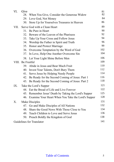| VI.  | Give                      |                                                        | 81  |  |
|------|---------------------------|--------------------------------------------------------|-----|--|
|      |                           | 28. When You Give, Consider the Generous Widow         | 82  |  |
|      |                           | 29. Love God, Not Money                                | 84  |  |
|      |                           | 30. Store Up for Yourselves Treasures in Heaven        | 86  |  |
| VII. |                           | Serve God with a Clean Heart                           | 89  |  |
|      |                           | 31. Be Pure in Heart                                   | 90  |  |
|      | 32.                       | Beware of the Leaven of the Pharisees                  | 92  |  |
|      | 33.                       | Take Up Your Cross and Follow Jesus                    | 94  |  |
|      | 34.                       | Worship the Father in Spirit and Truth                 | 96  |  |
|      | 35.                       | Honor and Protect Marriage                             | 99  |  |
|      | 36.                       | Overcome Temptation by the Word of God                 | 102 |  |
|      | 37.                       | In Love, Help One Another Overcome Sin                 | 104 |  |
|      |                           | 38. Let Your Light Shine Before Men                    | 106 |  |
|      | VIII. Be Fruitful         |                                                        |     |  |
|      |                           | 39. Abide in Jesus and Bear Much Fruit                 | 110 |  |
|      |                           | 40. Invest Your Talents, Don't Bury Them               | 112 |  |
|      | 41.                       | Serve Jesus by Helping Needy People                    | 114 |  |
|      | 42.                       | Be Ready for the Second Coming of Jesus: Part 1        | 116 |  |
|      |                           | 43. Be Ready for the Second Coming of Jesus: Part 2    | 118 |  |
| IX.  | Take the Lord's Supper    |                                                        |     |  |
|      |                           | 44. Eat the Bread of Life and Live Forever             | 122 |  |
|      |                           | 45. Remember Jesus' Death by Taking the Lord's Supper  | 125 |  |
|      |                           | 46. Examine Your Heart When You Take the Lord's Supper | 128 |  |
| X.   | <b>Make Disciples</b>     |                                                        |     |  |
|      |                           | 47. Go and Make Disciples of All Nations               | 132 |  |
|      |                           | 48. Share the Good News With Those Close to You        | 134 |  |
|      | 49.                       | Teach Children to Love and Serve Jesus                 | 136 |  |
|      |                           | 50. Preach Boldly the Kingdom of God                   | 138 |  |
|      | Guidelines for Translator |                                                        |     |  |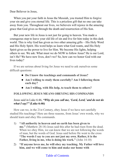<span id="page-6-0"></span>Dear Believer in Jesus,

When you put your faith in Jesus the Messiah, you trusted Him to forgive your sin and give you eternal life. This is a priceless gift that no one can take away from you. Throughout our lives, we believers will rejoice in the amazing grace that God gives us through the death and resurrection of His Son.

But your new life in Jesus is not just for going to heaven. You made a courageous step to leave your old life of sin and live for him today in this dark world. This is why God has given us two other amazing gifts – His Holy Word and His Holy Spirit. His word helps us learn what God wants, and His Holy Spirit gives us the power to live for Him. We become His lights, helping others to see. We ask: What must we do NOW to follow Jesus? He is our Lord, isn't He? We have new lives, don't we? So, how can we honor God with our lives today?

If we are serious about living for Jesus we need to ask ourselves some difficult questions:

- **Do I know the teachings and commands of Jesus?**
- **Am I willing to study them carefully? Am I following them each day?**
- **Am I willing, with His help, to teach them to others?**

#### **FOLLOWING JESUS MEANS OBEYING HIS COMMANDS**

#### Jesus said in Luke 6:46, *"Why do you call me, 'Lord, Lord,' and do not do what I say?"* **(Luke 6:46)**

How can we, in the 21st Century, obey Jesus if we have not carefully studied His teachings? Here are three reasons, from Jesus' own words, why we should learn and obey His commands.

- 1) **"All authority in heaven and on earth has been given to me."** (Matthew 28:18) Jesus said this after he had risen from the dead. When we obey Him, we can know that we are not following the words of man, but the words of God. Jesus said before He went to the cross **"The words I say to you are not just my own. Rather, it is the Father, living in me, who is doing his work."** (John 14:10)
- 2) **"If anyone loves me, he will obey my teaching. My Father will love him, and we will come to him and make our home with**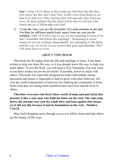him." (John 14:23) Many in this world say with their lips that they love Jesus, but they don't obey Him. In this verse Jesus helps us see that if we truly love Him, obeying Him will naturally flow from our lives. He then explains that the result will be that we will have the honor and joy of fellowship with God!

3) **"I am the vine; you are the branches. If a man remains in me and I in him, he will bear much fruit; apart from me you can do nothing.** (John 15:5) How can we say we are remaining in Jesus if we don't remember and follow His teachings? "Remaining in Jesus" means we are not working independently, but submitting to His Spirit and His way. As we do, we are assured that good and abundant "fruit" will come from our lives.

#### **ABOUT THIS BOOK**

This book has 50 studies from the life and teachings of Jesus. It has been written to help you learn His way, or if you already know His way, to help you teach others. To use this book, you will need a New Testament. You may want to use these studies for private devotions. If possible, however, study with others. This book was especially designed for home fellowships. Group discussion and prayer is important to help us grow with other believers. All over the world communities of believers are studying the commands of Jesus. Each week they are seeing Jesus transform their own lives and the lives of others.

#### **Therefore everyone who hears these words of mine and puts them into practice is like a wise man who built his house on the rock. The rain came down, the streams rose, and the winds blew and beat against that house; yet it did not fall, because it had its foundation on the rock. Matthew 7:24-25**

May God's kingdom grow through you as you follow Jesus and help others see the beauty of His ways.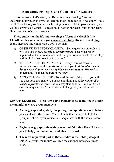#### **Bible Study Principles and Guidelines for Leaders**

<span id="page-8-0"></span>Learning from God's Word, the Bible, is a great privilege! We must understand, however, the type of learning that God requires. If we study God's word like a history student who is learning facts in order to pass an exam, we will miss what God wants. His teaching is not for our heads but for our hearts. He wants us to *obey* what we learn.

**These studies on the life and teachings of Jesus the Messiah (the Christ) are designed to help you consider carefully His words and obey them.** Here are three important ways to do that:

- 1) OBSERVE THE STORY CLOSELY. Some questions in each study will ask you to *look closely at certain verses* to see what really happened and what really was said. Set your opinion aside at this stage and think: "What does it actually say?"
- 2) THINK ABOUT THE MEANING. Every word of Jesus is important. Some of the questions will ask you to *think about what Jesus was trying to teach us by His words or actions*. We need to understand His meaning before we obey.
- 3) APPLY IT TO YOUR LIFE Toward the end of the study you will see questions that make you pause and think about *how to put His words to practice in your life* in a way that honors Him. Don't rush over these questions. Your world will change as you submit to His way.

#### **GROUP LEADERS – Here are some guidelines to make these studies meaningful to every group member:**

- **As the group leader, study the passage and questions alone, before you meet with the group.** You will be better prepared to help the group members if you yourself are acquainted with the study beforehand.
- **Begin your group study with prayer and faith that He will be with you to help you understand and obey His word.**
- **The most important part of these studies is the Bible passage itself.** As a group, make sure you read the assigned passage at least once.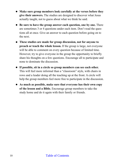- **Make sure group members look carefully at the verses before they give their answers.** The studies are designed to discover what Jesus actually taught, not to guess about what we think he said.
- **Be sure to have the group answer each question, one by one.** There are sometimes 3 or 4 questions under each item. Don't read the questions all at once. Give an answer to each question before going on to the next.
- **These studies are made for group discussion, not for anyone to preach or teach the whole lesson.** If the group is large, not everyone will be able to comment on every question because of limited time. However, try to give everyone in the group the opportunity to briefly share his thoughts on a few questions. Encourage all to participate and none to dominate the discussion.
- **If possible, sit in a circle so group members can see each other.** This will feel more informal than a "classroom" style, with chairs in rows and a leader doing all the teaching up at the front. A circle will help the group members feel more free to participate in the discussion.
- **As much as possible, make sure that everyone has their own copy of the lesson and a Bible.** Encourage group members to take the study home and do it again with their family or friends.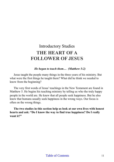# <span id="page-10-0"></span>Introductory Studies **THE HEART OF A FOLLOWER OF JESUS**

#### *He began to teach them… (Matthew 5:2)*

Jesus taught the people many things in the three years of his ministry. But what were the first things he taught them? What did he think we needed to know from the beginning?

The very first words of Jesus' teachings in the New Testament are found in Matthew 5. He begins his teaching ministry by telling us who the truly happy people in the world are. He knew that all people seek happiness. But he also knew that humans usually seek happiness in the wrong ways. Our focus is often on the wrong things.

**The two studies in this section help us look at our own lives with honest hearts and ask: "Do I know the way to find true happiness? Do I really want it?"**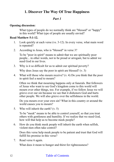## **1. Discover The Way Of True Happiness**

#### *Part 1*

#### <span id="page-11-0"></span>**Opening discussion:**

What types of people do we normally think are "blessed" or "happy" in this world? What type of people are usually envied?

#### **Read Matthew 5:1-12.**

- 1. Look quickly at each verse (vs. 3-12). In every verse, what main word is repeated?
- 2. According to Jesus, who is "blessed" in verse 3?

To be "poor in spirit" means to admit that we are spiritually poor people... in other words, not to be proud or arrogant, but to admit we need God in our lives.

3. Why is it so difficult for us to admit our spiritual poverty?

Why does Jesus say the poor in spirit are blessed? (v. 3)

4. What will those who mourn receive? (v. 4) Do you think that the poor in spirit feel a need to mourn?

Often we think that mourning happens only at funerals. But followers of Jesus who want to see God's kingdom come to this world will mourn over other things, too. For example, if we follow Jesus we will grieve over our sin because we see that it dishonors God and hurts other people. We will also grieve over the selfishness in the world.

Do you mourn over your own sin? What in this country or around the world causes you to mourn?

5. Who will inherit the earth? (v. 5)

To be "meek" means to be able to control yourself, so that you treat others with gentleness and humility. If we realize that we need God, how will that help us to become meek people?

6. How do you think meek people will inherit the earth when selfish, violent men often take control?

Does this verse help meek people to be patient and trust that God will fulfill his promise in this verse?

7. Read verse 6 again.

What does it mean to hunger and thirst for righteousness?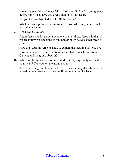Have you ever felt an intense "thirst" to know God and to be righteous before him? If so, have you ever told him of your desire?

Do you believe that God will fulfill this desire?

8. What did Jesus promise in this verse to those who hunger and thirst for righteousness?

#### 9. **Read John 7:37-38.**

Again Jesus is talking about people who are thirsty. Jesus said that if we are thirsty we can come to him and drink. What does that mean to you?

How did Jesus, in verse 38 and 39, explain the meaning of verse 37?

Have you begun to drink the living water that comes from Jesus? Can you tell the group about it?

10. Which of the verses that we have studied today especially touched your heart? Can you tell the group about it?

Take time as a group to ask the Lord to plant these godly attitudes like a seed in your heart, so that you will become more like Jesus.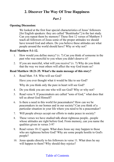## **2. Discover The Way Of True Happiness**

#### *Part 2*

#### <span id="page-13-0"></span>**Opening Discussion:**

We looked at the first four special characteristics of Jesus' followers [for English speakers: they are called "Beattitudes"] in the last study. Can you repeat them by memory? These first 12 verses of Matthew 5 teach all followers of Jesus some of the proper attitudes we should have toward God and others. Do you believe these attitudes are what people around the world should have? Why or why not?

#### **Read Matthew 5:1-12.**

- 1. How would you define mercy? (v. 7) Can you think of someone in the past who was merciful to you when you didn't deserve it?
- 2. If you are merciful, what will you receive? (v. 7) Why do you think that the way we treat others will affect the way God treats us?

#### **Read Matthew 18:21-35. What's the main message of this story?**

3. Read Matt. 5:8. Who will see God?

Have you ever thought what it would be like to see God?

Why do you think only the pure in heart will see God?

- 4. Do you think you are one who will see God? Why or why not?
- 5. Read verse 9. If peacemakers are called "sons of God," what does that tell us about God Himself?
- 6. Is there a need in this world for peacemakers? How can we be peacemakers in our homes and in our society? Can you think of a particular situation in your life where you need to be a peacemaker?
- 7. Will people always accept our efforts to make peace in society?
- 8. These verses we have studied talk about righteous people...people whose attitudes are right before God. From memory, can you name the qualities given in verses 3-9?
- 9. Read verses 10-12 again. What does Jesus say may happen to those who are righteous before God? Why are some people hostile to God's people?
- 10. Jesus speaks directly to his followers in verse 11. What does he say will happen to them? Why should they rejoice?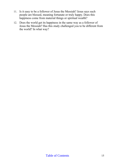- 11. Is it easy to be a follower of Jesus the Messiah? Jesus says such people are blessed, meaning fortunate or truly happy. Does this happiness come from material things or spiritual wealth?
- 12. Does the world get its happiness in the same way as a follower of Jesus the Messiah? Has this study challenged you to be different from the world? In what way?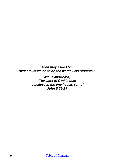*"Then they asked him, 'What must we do to do the works God requires?'*

> *Jesus answered, 'The work of God is this: to believe in the one he has sent'." John 6:28-29*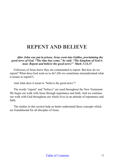## <span id="page-16-0"></span>**REPENT AND BELIEVE**

#### *After John was put in prison, Jesus went into Galilee, proclaiming the good news of God. "The time has come," he said. "The kingdom of God is near. Repent and believe the good news!" Mark 1:14,15*

Followers of Jesus know they are commanded to repent. But how do we repent? What does God want us to do? (Do we sometimes misunderstand what it means to repent?)

And what does it mean to "believe the good news"?

The words "repent" and "believe" are used throughout the New Testament. We begin our walk with Jesus through repentance and faith. And we continue our walk with God throughout our whole lives in an attitude of repentance and faith.

The studies in this section help us better understand these concepts which are foundational for all disciples of Jesus.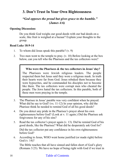## <span id="page-17-0"></span>**3. Don't Trust In Your Own Righteousness**

#### *"God opposes the proud but gives grace to the humble." (James 4:6)*

#### **Opening Discussion:**

Do you think God weighs our good deeds with our bad deeds on a scale, like fruit is weighed at a bazaar? Explain your thoughts to the group.

#### **Read Luke 18:9-14**

- 1. To whom did Jesus speak this parable? (v. 9)
- 2. Two men went to the temple to pray. (v. 10) Before looking at the box below, can you tell who the Pharisees and the tax collectors were?

**Who were the Pharisees & the tax collectors in Jesus' day?**  The Pharisees were Jewish religious leaders. The people respected them but Jesus said they wore a religious mask. In truth their hearts were far from God. Jesus rebuked them because they were hypocrites, and he commanded his disciples not to become like them. The tax collectors were corrupt men who cheated the people. The Jews hated the tax collectors. In this parable, both of these men were praying in the temple.

- 3. The Pharisee in Jesus' parable was very confident when he prayed. What did he say to God? (vs. 11-12) In your opinion, why did the Pharisee think he needed to remind God of all his good deeds?
- 4. Do you detect any pride in the Pharisee's prayer about his own righteousness before God? (Look at v. 11 again.) Did the Pharisee ask forgiveness for any of his sins?
- 5. Read the tax collector's prayer again (v. 13). Did he remind God of his good deeds, like the Pharisee? What did he desperately ask God for? Did the tax collector put any confidence in his own righteousness before God?
- 6. According to Jesus, WHO went home justified (or made right) before God (v. 14)?

The Bible teaches that all have sinned and fallen short of God's glory (Romans 3:23). We have no hope of being right with God if we trust in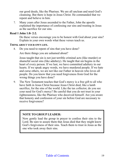our good deeds, like the Pharisee. We are all unclean and need God's cleansing. But there is hope in Jesus Christ. He commanded that we repent and believe in him.

7. Many years after Jesus ascended to the Father, John the apostle explained the importance of confessing our sins and trusting in Jesus as the sacrifice for our sins.

#### **Read 1 John 1:8- 2:2.**

Do these verses encourage you to be honest with God about your sins? Explain in your own words what these verses teach us.

#### **THINK ABOUT YOUR OWN LIFE.**

8. Do you need to repent of sins that you have done?

Are there things you are ashamed about?

Jesus taught that sin is not just terrible criminal acts (like murder) or shameful social sins (like adultery). He taught that sin begins in the heart of every person. If we lust, we have committed adultery in our hearts. If we speak angry words, we have murdered people. If we hate and curse others, we are not like our Father in heaven who loves all people. Do you know that you need forgiveness from God for the wrong things you have done?

9. The New Testament teaches that God's mercy is a free gift to all who have faith in Jesus Christ because Jesus Christ died, like a lamb sacrifice, for the sins of the world. Like the tax collector, do you see your need for God's mercy? Be careful that you do not trust in your righteousness, like the Pharisee who deceived himself. Are you aware that honesty and confession of your sin before God are necessary to receive forgiveness?

#### **NOTE TO GROUP LEADER:**

Now gently lead the group in prayer to confess their sins to the Lord. Be sure to assure them that Jesus died that they might know God's forgiveness of their sins. Teach them to trust in Jesus as the one who took away their sins.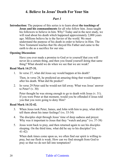## **4. Believe In Jesus' Death For Your Sin**

#### *Part 1*

<span id="page-19-0"></span>**Introduction:** The purpose of this series is to learn about **the teachings of Jesus and his commandments** for all who follow him. Jesus taught his followers to believe in him. Why? Today and in the next study, we will read about his death which happened approximately 2,000 years ago. Millions believe he is the Savior of the world. We must understand the purpose of his death in order to believe in Him. The New Testament teaches that He obeyed His Father and came to the earth to die as a sacrifice for our sins.

#### **Opening Discussion:**

Have you ever made a promise to God or to yourself that you will never do a certain thing, and then you found yourself doing that same thing? What should we do when we see that we are weak?

#### **Read Mark 14:27-31.**

1. In verse 27, what did Jesus say would happen at his death?

Then, in verse 28, he predicted an amazing thing that would happen after his death. What did He predict?

2. In verse 29 Peter said he would not fall away. What was Jesus' answer to Peter? (v. 30)

Peter thought he was strong enough to go to death with Jesus (v. 31). If you were Peter at that moment, would you be offended if Jesus told you that you were going to deny Him?

#### **Read Mark 14:32-42.**

- 3. When Jesus took Peter, James, and John with him to pray, what did he tell them about his inner feelings? (vs. 33-34)
- 4. The disciples slept through Jesus' time of deep sadness and prayer. Why was it important to Jesus that they "watch and pray" (vs. 37-38)
- 5. Jesus went back to pray, and then returned again to see his disciples sleeping. On the third time, what did he say to his disciples? (vs. 41-42)

When dark times come upon us, we often find our spirit is willing to pray, but our flesh is weak. How can we find strength from God to pray so that we do not fall into temptation?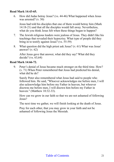#### **Read Mark 14:43-65.**

6. How did Judas betray Jesus? (vs. 44-46) What happened when Jesus was arrested? (v. 50)

Jesus had told his disciples that one of them would betray him (Mark 14:18-21) and that all the disciples would fall away. Nevertheless, what do you think Jesus felt when these things began to happen?

- 7. The Jewish religious leaders were jealous of Jesus. They didn't like his teachings that revealed their hypocrisy. What type of people did they bring in to testify against Jesus? (vs. 55-59)
- 8. What question did the high priest ask Jesus? (v. 61) What was Jesus' answer?  $(v. 62)$

After Jesus gave that answer, what did they say? What did they decide? (vs. 63,64)

#### **Read Mark 14:66-72.**

9. Peter's denial of Jesus became much stronger on the third time. How? (v. 71) When Peter remembered that Jesus had predicted his denial, what did he do?

Surely Peter also remembered what Jesus had said to people who followed him. He said, "Whoever acknowledges me before men, I will also acknowledge him before my Father in heaven, but whoever disowns me before men, I will disown him before my Father in heaven." (Matthew 10:32-33).

How can we grow in our faith so that we are not ashamed of following Jesus?

The next time we gather, we will finish looking at the death of Jesus.

Pray for each other, that you may grow in your faith and not be ashamed of following Jesus the Messiah.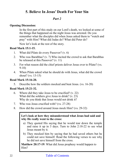## **5. Believe In Jesus' Death For Your Sin**

#### *Part 2*

#### <span id="page-21-0"></span>**Opening Discussion:**

In the first part of this study on our Lord's death, we looked at some of the things that happened on the night Jesus was arrested. Do you remember what the disciples did when Jesus asked them to "watch and pray" with Him? What did Judas do? What did Peter do?

Now let's look at the rest of the story.

#### **Read Mark 15:1-15.**

- 1. What did Pilate do every Passover? (v. 6)
- 2. Who was Barabbas? (v. 7) Who incited the crowd to ask that Barabbas be released at this Passover? (v. 11)
- 3. For what reason did the chief priests deliver Jesus over to Pilate? (vs. 9-10)
- 4. When Pilate asked what he should do with Jesus, what did the crowd shout? (vs. 13-15)

#### **Read Mark 15:16-20.**

5. Describe how the soldiers mocked and beat Jesus. (vs. 16-20)

#### **Read Mark 15:21-32.**

- 6. Where did they take Jesus to be crucified? (v. 22) What did the soldiers give Jesus to drink? (v. 23) Why do you think that Jesus would not drink it?
- 7. Who was Jesus crucified with? (vs. 27-28)
- 8. How did the crowd around Jesus mock Him? (vs. 29-32)

#### **Let's look at how they misunderstood what Jesus had said and why He really went to the cross:**

- a) They quoted His saying that he would tear down the temple and raise it up in 3 days. Turn to John 2:18-22 to see what Jesus meant by it.
- b) They mocked him by saying that he had saved others but he could not save himself. Read the following verses to see why he did not save himself from the cross.

**Matthew 20:17-19**: What did Jesus prophesy would happen to Him?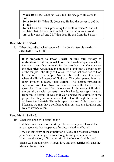**Mark 10:44-45:** What did Jesus tell His disciples He came to do?

**John 10:14-18:** What did Jesus say He had the power to do? (v. 17-18)

**John 12:23-33:** Jesus, predicting His death in verse 23 and 24, explains that His heart is troubled. But He prays an unusual prayer in verse 27 and 28. What does He ask from the Father?

#### **Read Mark 15:33-41.**

9. When Jesus died, what happened in the Jewish temple nearby in Jerusalem? (vs. 37-38)

**It is important to know Jewish culture and history to understand what happened here.** The Jewish temple was where the priests sacrificed animals for the people's sins. Once a year the high priest would take the blood of a lamb into a certain room of the temple – the Holy of Holies-- to offer that sacrifice to God for the sins of the people. No one else could enter that room where the Holy Presence of God was. The priest passed into that room through a huge, thick curtain. The curtain represented separation from God. Now on the cross, Jesus, the lamb of God, gave His life as a sacrifice for our sins. At the moment He died, the curtain, as with powerful invisible hands, was split in two, from top to bottom. It was as if God opened the curtain to show people that they are now reconciled to God through the sacrifice of Jesus the Messiah. Through repentance and faith in Jesus the Messiah, we may have confidence that our sins are forgiven and we are washed clean.

#### **Read Mark 15:42-47.**

10. What was done with Jesus' body?

But this is not the end of the story. The next study will look at the amazing events that happened after Jesus' death and burial.

How has this story of the crucifixion of Jesus the Messiah affected you? Share with the group your thoughts and your emotions. How does this story affect your faith in the love of God for you?

Thank God together for His great love and the sacrifice of Jesus the Messiah for our sins.<sup>"</sup>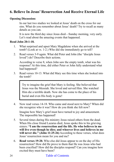## <span id="page-23-0"></span>**6. Believe In Jesus' Resurrection And Receive Eternal Life**

#### **Opening Discussion:**

In our last two studies we looked at Jesus' death on the cross for our sins. What do you remember about Jesus' death? Try to recall as many details as you can.

It is now the third day since Jesus died—Sunday morning, very early. Let's read about the amazing events that happened.

#### **Read John 20:1-18.**

- 1. What surprised and upset Mary Magdalene when she arrived at the tomb? (Look at vs. 1-2.) Who did she immediately go to tell?
- 2. Read verses 3-9 again. What did Peter and John (the "disciple Jesus loved") do? Describe their actions.

According to verse 8, when John saw the empty tomb, what was his response? At this time, did either Peter or John fully understand what had happened?

3. Read verses 10-13. What did Mary see this time when she looked into the tomb?

Try to imagine the grief that Mary is feeling. She believed that Jesus was the Messiah. She loved and served Him. She watched Him die a terrible death. Now she has come to the place of his burial and even His body is gone!

4. Now read verses 14-18. Who came and stood next to Mary? When did she recognize who it was? How do you think she felt now?

Imagine how Mary's grief must have turned to joy and amazement. The impossible has happened!

- 5. Several times during His ministry Jesus raised others from the dead. When His close friend Lazarus died, Jesus spoke this to his grieving sisters: **"I am the resurrection and the life. He who believes in me will live even though he dies; and whoever lives and believes in me**  will never die." (John 11:25-26) According to these verses, what does Jesus' resurrection mean for you and me?
- 6. **Read verses 19-20.** Who else did Jesus appear to on the day of His resurrection? How did He prove to them that He was Jesus who had been crucified? How did the disciples respond? Can you imagine how excited they must have been?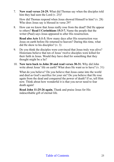7. **Now read verses 24-29.** What did Thomas say when the disciples told him they had seen the Lord (v. 25)?

How did Thomas respond when Jesus showed Himself to him? (v. 28) Who does Jesus say is blessed in verse 29?

8. How can we know that Jesus really rose from the dead? Did He appear to others? **Read I Corinthians 15:3-7.** Name the people that the writer (Paul) says Jesus appeared to after His resurrection.

**Read also Acts 1:1-3.** How many days after His resurrection was Jesus on earth before He returned to heaven? During this time, what did He show to his disciples? (v. 3)

- 9. Do you think the disciples were convinced that Jesus truly was alive? Historians believe that ten of Jesus' twelve disciples were killed for their faith in Jesus. Would they have died for something that they thought might be a lie?
- 10. **Now turn back to John 20 and read verses 30-31.** Why did John write about Jesus' life on earth? What does He want us to have? (v. 31)

What do you believe? Do you believe that Jesus came into the world and died as God's sacrifice for your sin? Do you believe that He rose again from the dead and conquered the power of death? If so, tell Him now. Think about how wonderful it is that you never need to fear death again!

**Read John 11:25-26 again.** Thank and praise Jesus for His indescribable gift of eternal life.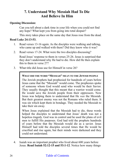## **7. Understand Why Messiah Had To Die And Believe In Him**

#### <span id="page-25-0"></span>**Opening Discussion:**

Can you tell about a dark time in your life when you could not find any hope? What kept you from going into total despair?

This story takes place on the same day that Jesus rose from the dead.

#### **Read Luke 24:13-53.**

- 1. Read verses 13-16 again. As the disciples were walking and talking, who came up and walked with them? Did they know who it was?
- 2. Read verses 17-24. What were the two disciples discussing?

Read Jesus' response to them in verses 25-26. Jesus is surprised that they don't understand why He had to die. How did He then explain this to them in verse 27?

3. What title did Jesus use for Himself in verse 26?

#### **WHAT DID THE WORD "MESSIAH" MEAN TO THE JEWISH PEOPLE**

The Jewish prophets had prophesied for hundreds of years before Jesus came that the "Messiah" would come. The prophesies spoke of someone whom God would send who would be their Savior. They usually thought that this meant that a warrior would come. He would save the Jewish people from their oppressors. Now Jesus was helping them to understand that He *was* the Messiah. But their greatest enemy was not the Romans who ruled them. It was sin which kept them in bondage. They needed the Messiah to take their sin away.

When Jesus explained that the Messiah had to die, these words helped the disciples to understand that Jesus' death was not a hopeless tragedy. God was in control and he used the plans of evil men to fulfill His purposes. God had told the prophets hundreds of years before that the Messiah would die as a savior. Jesus Himself had told the disciples several times that He would be crucified and rise again, but their minds were darkened and they could not understand.

4. Isaiah was an important prophet who lived about 600 years before Jesus. **Read Isaiah 52:12-15 and 53:1-12**. Notice how many things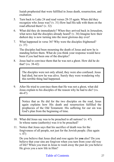Isaiah prophesied that were fulfilled in Jesus death, resurrection, and exaltation.

- 5. Turn back to Luke 24 and read verses 28-35 again. When did they recognize who Jesus was? (v. 31) How had His talk with them on the road affected them? (v. 32)
- 6. What did they do immediately? When they arrived back in Jerusalem, what news had the disciples already heard? (v. 34) Imagine how their darkest day is now turning into the most glorious day ever!
- 7. What happened in verse 36? Why were the disciples frightened? (v. 37)

The disciples had been mourning the death of Jesus and now he is standing before them. What do you think your response would have been if you had been one of the disciples?

8. Jesus had to convince them that he was not a ghost. How did he do that? (vs. 38-42)

The disciples were not only afraid, they were also confused. Jesus had died, but now he was alive. Surely they were wondering why this terrible thing had happened.

9. After He tried to convince them that He was not a ghost, what did Jesus explain to his disciples of the reason why he had to die? (vs. 44-47)

Notice that as He did for the two disciples on the road, Jesus again explains how His death and resurrection fulfilled the prophecies of the Old Testament. His suffering for our sin was God's plan from the beginning of time.

- 10. What did Jesus say was to be preached to all nations? (v. 47) In whose name (authority) was it to be preached?
- 11. Notice that Jesus says that his sacrifice of death was for the forgiveness of all people, not just for the Jewish people. (See again v. 47)

Do you believe that Jesus died and rose again for **you** also? Do you believe that your sins are forgiven when you turn from your old way of life? When you trust in Jesus to wash away the past do you believe He gives you a new life in Him?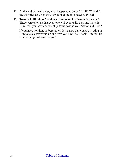- 12. At the end of the chapter, what happened to Jesus? (v. 51) What did the disciples do when they saw him going into heaven? (v. 52)
- 13. **Turn to Philippians 2 and read verses 9-11.** Where is Jesus now? These verses tell us that everyone will eventually bow and worship Him. Will you bow and worship Jesus now as your Savior and Lord?

If you have not done so before, tell Jesus now that you are trusting in Him to take away your sin and give you new life. Thank Him for His wonderful gift of love for you!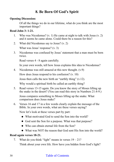## **8. Be Born Of God's Spirit**

#### <span id="page-29-0"></span>**Opening Discussion:**

Of all the things we do in our lifetime, what do you think are the most important things?

#### **Read John 3: 1-21.**

- 1. Who was Nicodemus? (v. 1) He came at night to talk with Jesus (v. 2) and it seems he came alone. Could there be a reason for this?
- 2. What did Nicodemus say to Jesus? (v. 2)

What was Jesus' response? (v. 3)

3. Nicodemus was confused by Jesus' statement that a man must be born twice.

Read verses 4 - 8 again carefully.

In your own words, tell how Jesus explains this idea to Nicodemus?

4. Nicodemus was still amazed at this new thought. (v.9)

How does Jesus respond to his confusion? (v. 10)

Jesus then calls the new birth an "earthly thing" (v.12).

Why would a spiritual birth be called an earthly thing?

5. Read verses 13-15 again. Do you know the story of Moses lifting up the snake in the desert? (You can read this story in Numbers 21:4-9.)

Jesus compares something to Moses lifting up the snake. What comparison does Jesus make?

6. Verses 16 and 17 in a few words clearly explain the message of the Bible. In your own words, what are these verses saying?

Now let's look at these verses part by part:

- What motivated God to send the Son into the world?
- God sent the Son for a purpose. What was that purpose?
- Who can obtain eternal life from the Son?
- What was NOT the reason that God sent His Son into the world?

#### **Read again verses 18-21.**

7. What do you think "light" means in verses  $19 - 21$ ?

Think about your own life. How have you hidden from God's light?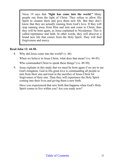Verse 19 says that **"light has come into the world."** Many people run from the light of Christ. They refuse to allow His Spirit to cleanse them and give them new life. But they don't know that they are actually running from God's love. If they will stop running away from Him and turn and come to Christ, then they will be born again, as Jesus explained to Nicodemus. This is called repentance and faith. In other words, they will discover a brand new life that comes from the Holy Spirit. They will find forgiveness and mercy.

#### **Read John 12: 44-50.**

8. Why did Jesus come into the world? (v. 46)

When we believe in Jesus Christ, what does that mean? (vs. 44-45)

Who commanded Christ to speak these things? (vs. 49-50).

9. Jesus explains in this study that we must be born again if we are to see God's kingdom. God in His great love is commanding all people to turn from their sins and trust in the sacrifice of Jesus Christ for forgiveness of their sins. Then they will experience the Holy Spirit coming into their lives and giving them a new birth.

Have you experienced that new birth that happens when God's Holy Spirit comes to live within you? Are you ready now?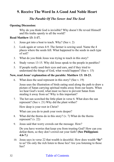## <span id="page-31-0"></span>**9. Receive The Word In A Good And Noble Heart**

#### *The Parable Of The Sower And The Seed*

#### **Opening Discussion:**

Why do you think God is invisible? Why doesn't He reveal Himself and His truths openly to all the world?

#### **Read Matthew 13: 1-17.**

- 1. Jesus got into a boat to teach. Why? (See v. 2)
- 2. Look again at verses 4-9. The farmer is sowing seed. Name the 4 places where the seeds fell. What happened to the seeds in each type of soil?
- 3. What do you think Jesus was trying to teach in this story?
- 4. Study verses 13-15. Why did Jesus speak to the people in parables?
- 5. If people really used their eyes and ears, and if they tried to understand the things of God, what would happen? (See v. 15)

#### **Now, read Jesus' explanation of the parable: Matthew 13: 18-23.**

6. What does the seed represent in this story? (See v. 19)

Jesus uses the illustration of birds eating seed along the path to draw a picture of Satan carrying spiritual truths away from our hearts. When we hear God's word, what must we have to prevent Satan from stealing it away from us? Why is this important?

7. The hot sun scorched the little plant in verse 6. What does the sun represent? (See v. 21) Why did the plant wither?

How deep is your root in Christ?

What can you do to push your roots deeper?

- 8. What did the thorns do in this story? (v. 7) What do the thorns represent? (v. 22)
- 9. Jesus said that worry crowds out the message. How?

Do you have worries that keep you from trusting God? How can you defeat them, so they don't crowd out your faith? **(See Philippians 4:6-7.)**

10. Jesus says in verse 22 that wealth is deceitful. How does wealth **"lie"** to us? Do only the rich listen to those lies? Are you listening to those lies?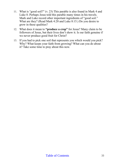- 11. What is "good soil?" (v. 23) This parable is also found in Mark 4 and Luke 8. Perhaps Jesus told this parable many times in his travels. Mark and Luke record other important ingredients of "good soil." What are they? (Read Mark 4:20 and Luke 8:15.) Do you desire to grow in these qualities?
- 12. What does it mean to **"produce a crop"** for Jesus? Many claim to be followers of Jesus, but their lives don't show it. Is our faith genuine if we never produce good fruit for Christ?
- 13. If you had to pick one soil that represents you which would you pick? Why? What keeps your faith from growing? What can you do about it? Take some time to pray about this now.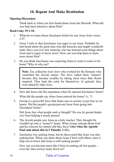## **10. Repent And Make Restitution**

#### <span id="page-33-0"></span>**Opening Discussion:**

Think back to when you first heard about Jesus the Messiah. What did you find most attractive about Him?

#### **Read Luke 19:1-10.**

- 1. What do we learn about Zacchaeus before he met Jesus from verses 2-4?
- 2. Verse 3 tells us that Zacchaeus was eager to see Jesus. Probably he had heard about the great man who did miracles and taught wonderful truth. Have you ever met someone who has learned some things about Jesus and is eager to know more? How can you help them to learn more about Him?
- 3. Do you think Zacchaeus was expecting Jesus to want to come to his home? Why or why not?

**Note:** Tax collectors were Jews who worked for the Romans who controlled the Jewish nation. The Jews called them "sinners" because they became wealthy by taking more taxes than Rome required. They kept the extra for themselves. In general, they were hated by other Jews.

4. How did Jesus risk His reputation when He entered Zacchaeus' home? What did the people say when Jesus entered the home? (v. 7)

5. Gossip is a powerful force that Satan uses in society to put fear in our hearts. Did the people's gossip prevent Jesus from going into

Zacchaeus' home?

Did Jesus fear what people said or thought? Do you let gossip hinder you from helping a needy person?

- 6. The Jewish people saw Jesus as a holy teacher. They thought He wouldn't go into a "sinner's" home. What wrong concept about God and his concern for sinners did they have? **(See what the Apostle Paul said about this in I Timothy 1:15.)**
- 7. Zacchaeus was seeking Jesus, but he discovered that Jesus was also seeking him. When you share about Jesus Christ with others, does it help you to know that Jesus is still seeking people?

How can you become more like Christ in seeking all lost people even the ones society looks down on?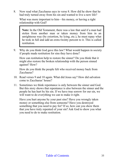8. Now read what Zacchaeus says in verse 8. How did he show that he had truly turned away from his sin and wanted to live a new life?

What was more important to him—his money, or having a right relationship with God?

**Note:** In the Old Testament, there was a law that said if a man had stolen from another man or taken money from him in an unrighteous way (by extortion, by lying, etc.), he must repay what he took in full and add an extra twenty percent to it. This is called restitution.

9. Why do you think God gave this law? What would happen in society if people made restitution for sins they have done?

How can restitution help to restore the sinner? Do you think that it might also restore the broken relationship with the person sinned against? How?

How do you think the people felt who received money back from Zacchaeus?

- 10. Read verses 9 and 10 again. What did Jesus say? How did salvation come to Zacchaeus' house?
- 11. Sometimes we think repentance is only between the sinner and God. But this story shows that repentance is also between the sinner and the people he has hurt by his sin. If we have true sorrow for our sin, we will want to do everything we can to make it right.

Have you hurt anyone by your past sins? Have you wrongly taken money or something else from someone? Have you destroyed something that you need to pay for? If so, how can you show them that you have truly repented of your sin? Ask God to show you what you need to do to make restitution.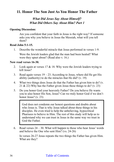## <span id="page-35-0"></span>**11. Honor The Son Just As You Honor The Father**

## *What Did Jesus Say About Himself? What Did Others Say About Him? Part 1*

#### **Opening Discussion:**

Are you confident that your faith in Jesus is the right way? If someone asks you why you believe in Jesus the Messiah, what will you tell them?

#### **Read John 5:1-15.**

1. Describe the wonderful miracle that Jesus performed in verses 1-9.

Were the Jewish leaders glad that the man had been healed? What were they upset about? (Read also v. 16.)

#### **Now read verses 16-30.**

- 2. Look again at verses  $17 \& 18$ . Why were the Jewish leaders trying to kill Jesus?
- 3. Read again verses  $19 23$ . According to Jesus, where did He get His ability (authority) to do the miracles that He did? (v. 19)
- 4. What two things does Jesus do that the Father has given him to do? (v. 21  $\&$  22) Why has the Father given Jesus these things to do? (v. 23)
- 5. Do you honor God your heavenly Father? Do you believe He wants you to also honor His Son, Jesus? Can we truly honor God if we don't honor Jesus? (v. 23)

God does not condemn our honest questions and doubts about who Jesus is. That is why Jesus talked about these things to his disciples. He even tried to help the unbelieving, hypocritical Pharisees to believe in Him. The rest of this study will help us to understand why we can trust in Jesus in the same way we trust in God the Father.

6. Read verses 24 – 30. What will happen to those who hear Jesus' words and believe the One who sent Him? (vs. 24-26)

In verses 26-27 Jesus repeats the two things the Father has given Him. What are they?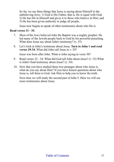So far, we see three things that Jesus is saying about Himself to the unbelieving Jews: 1) God is His Father, that is, He is equal with God; 2) He has life in Himself and gives it to those who believe in Him; and 3) He has been given authority to judge all people.

Jesus now begins to speak of other testimonies about who He is.

#### **Read verses 31 - 35.**

- 7. Most of the Jews believed John the Baptist was a mighty prophet. He led many of the Jewish people back to God by his powerful preaching. What does Jesus say about John's testimony?  $(v, 33)$
- 8. Let's look at John's testimony about Jesus. **Turn to John 1 and read verses 29-34.** What did John call Jesus in v. 29?

Jesus was born after John. What is John saying in verse 30?

- 9. Read verses 32 34. What did God tell John about Jesus? (v. 33) What is John's final testimony about Jesus? (v. 34)
- 10. Now that you have studied these two passages about who Jesus is, what do you say about Him? If you have honest questions about who Jesus is, tell them to God. Ask Him to help you to know the truth.

Next time we will study the second part of John 5. Here we will see more testimonies about Jesus.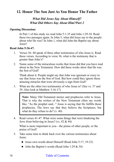# **12. Honor The Son Just As You Honor The Father**

# *What Did Jesus Say About Himself? What Did Others Say About Him?Part 2*

#### **Opening Discussion:**

In Part 1 of this study we read John 5:1-35 and John 1:29-34. Read these two passages again. In John 5, what did Jesus say to the people about who He was? In John 1, what did John the Baptist say about Jesus?

### **Read John 5:36-47.**

- 1. Verses 36- 40 speak of three other testimonies of who Jesus is. Read these verses. According to verse 36, what is the testimony that is greater than John's?
- 2. Name some of the miraculous works that Jesus did that you have read about in the New Testament. How did these works show that He was the Son of God?

Think about it: People might say that John was ignorant or crazy to say that Jesus was the Son of God. But how could they ignore these amazing miracles that were obviously a sign from God?

3. What are the other two testimonies of who Jesus is? (See vs. 37 and 39. Also look at Matthew 3:16-17)

**Note:** Many Old Testament stories and prophecies refer to Jesus. That is why the writers of the New Testament often say words like, "As the prophet said..." Jesus is saying that He fulfills those prophecies. The Jews say that they believe the Scriptures, but what do they refuse to do? (v. 40)

4. Read verses 41-47. What were some things that were hindering the Jews from believing in Jesus? (vs.  $42 \& 44$ )

What is more important to you—the praise of other people, or the praise of God?

- 5. Take some time to think back over the various testimonies about Jesus:
	- Jesus own words about Himself (Read John 5:17, 19-23)
	- John the Baptist's words (Read John 1:29  $\&$  34)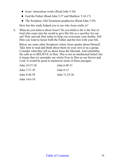- Jesus' miraculous works (Read John 5:36)
- God the Father (Read John 5:37 and Matthew 3:16-17)
- The Scripture; Old Testament prophecies (Read John 5:39)

How has this study helped you to see who Jesus really is?

6. What do you believe about Jesus? Do you believe He is the Son of God who came into the world to give His life as a sacrifice for our sin? Pray and ask Him today to help you overcome your doubts. Tell Him you want to honor both the Father and the Son with your life.

Below are some other Scriptures where Jesus speaks about Himself. Take time to read and think about them on your own or as a group. Consider what they tell us about Jesus the Messiah. And remember, He calls us to BELIEVE in Him. This is not an intellectual belief, but it means that we surrender our whole lives to Him as our Savior and Lord. It would be good to memorize some of these passages.

| John 10:37-38 | John $6:48-51$  |
|---------------|-----------------|
| John 7:37-39  | John $8:12$     |
| John 8:48-59  | John $11:25-26$ |
| John 14:6-10  |                 |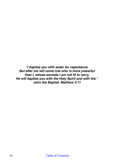*"I baptize you with water for repentance. But after me will come one who is more powerful than I, whose sandals I am not fit to carry. He will baptize you with the Holy Spirit and with fire." John the Baptist, Matthew 3:11*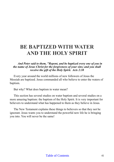# **BE BAPTIZED WITH WATER AND THE HOLY SPIRIT**

#### *And Peter said to them, "Repent, and be baptized every one of you in the name of Jesus Christ for the forgiveness of your sins; and you shall receive the gift of the Holy Spirit. Acts 2:38*

Every year around the world millions of new followers of Jesus the Messiah are baptized. Jesus commanded all who believe to enter the waters of baptism.

But why? What does baptism in water mean?

This section has several studies on water baptism and several studies on a more amazing baptism: the baptism of the Holy Spirit. It is very important for believers to understand what has happened to them as they believe in Jesus.

The New Testament explains these things to believers so that they not be ignorant. Jesus wants you to understand the powerful new life he is bringing you into. You will never be the same!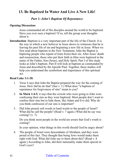# **13. Be Baptized In Water And Live A New Life!**

# *Part 1: John's Baptism Of Repentance*

# **Opening Discussion:**

Jesus commanded all of His disciples around the world to be baptized. Have you ever seen a baptism? If so, tell the group your thoughts about it.

**Introduction**: Baptism is a very important part of the life of the Church. It is the way in which a new believer in Jesus shows to witnesses that he is leaving his past life of sin and beginning a new life in Jesus. When we first read about baptism in the New Testament, John the Baptist is baptizing people who repent of (turn from) their sin. After Jesus' death and resurrection, those who put their faith in Him were baptized in the name of the Father, Son (Jesus), and Holy Spirit. Part I of this study looks at John's baptism. Part II will look at baptism as commanded by Jesus and described by the Apostle Paul. Together, these studies will help you understand the symbolism and importance of this spiritual act.

#### **Read Luke 3:1-20.**

- 1. Verse 4 says that John the Baptist prepared the way for the coming of Jesus. How did he do that? (See v. 3.) What does "a baptism of repentance for forgiveness of sins" mean to you?
- 2. **In Mark 1:4-5**, it says that the crowds who were going to John were confessing their sins as they were baptized. Most people don't want to confess their sins but to hide them, like Adam and Eve did. Why do you think confession of our sins is important?
- 3. Did John preach soft words or hard words to the people of Israel? What did he call the people? (Read v. 7 again.) What did he say was coming?  $(v, 7)$

Do you think most people in the world are aware that God's wrath is coming?

In your opinion, what things in this world should God be angry about?

4. The people of Israel were descendants of Abraham, and they were proud of this fact. They thought that being Jews would make them right with God. What did John say to them about this? (Read v. 8 again.) According to John, did their nationality make them special in God's eyes?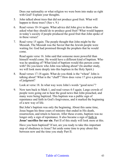Does our nationality or what religion we were born into make us right with God? Explain your thoughts.

- 5. John talked about trees that did not produce good fruit. What will happen to those trees? (See v. 9.)
- 6. Read verses 10-14 again. What advice did John give to those who asked what they should do to produce good fruit? What would happen in today's society if people produced the good fruit that John spoke of in these verses?
- 7. Read verse 15 again. The people thought that John might be the Messiah. The Messiah was the Savior that the Jewish people were waiting for. God had promised through the prophets that he would come.

Read again verse 16. John said that someone more powerful than himself would come. He would have a different kind of baptism. Who was he speaking of? What kind of baptism would this person come with? Do you know who John was talking about? (In another study, we will look more deeply into this baptism in the Holy Spirit.)

8. Read verses 17-18 again. What do you think is the "wheat" John is talking about? What is the "chaff"? How does verse 17 give a picture of judgment?

Look at verse 18. In what way were John's words "good news"?

9. Now turn back to Mark 1, and read verses 4-5 again. Large crowds of people were going out to hear the good news that John preached, and many were being baptized. This baptism was a public sign of repentance and faith in God's forgiveness, and it marked the beginning of a new way of life.

But John's baptism was only the beginning. About this same time, Jesus began his three years of ministry that ended in His death, resurrection, and return to heaven. After these events, baptism was no longer only a sign of repentance. It also became a sign of faith in **Jesus' sacrifice for our sin**. Part II of this study will look more at this.

Have you been baptized? If not, are you ready to take this important step of obedience to Jesus? Set aside some time to pray about this between now and the time you study Part II.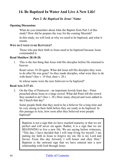# **14. Be Baptized In Water And Live A New Life!**

# *Part 2: Be Baptized In Jesus' Name*

#### **Opening Discussion:**

What do you remember about John the Baptist from Part I of this study? How did he prepare the way for the coming Messiah?

In this study, we will look at why we need to be baptized, and what it means.

#### **WHY DO I NEED TO BE BAPTIZED?**

Those who put their faith in Jesus need to be baptized because Jesus commanded it.

#### **Read Matthew 28:18-20.**

1. This is the last thing that Jesus told His disciples before He returned to heaven.

Read verses 19-20 again. What did Jesus tell His disciples they were to do after He was gone? As they made disciples, what were they to do with them? (See v. 19 first, then v. 20.)

In whose name were the new believers to be baptized?

#### **Read Acts 2:37-41.**

2. On the Day of Pentecost—an important Jewish feast day—Peter preached about Jesus to a large crowd. What did Peter tell the crowd they needed to do? (See v. 38.) How many obeyed and were added to the Church that day?

Some people think that they need to be a believer for a long time and be very strong in their faith before they are ready to be baptized. In this passage in Acts, how soon after they believed were people baptized?

Baptism is not a sign that we have reached maturity or that we are perfect and will never sin again. Rather, it is a sign that we are BEGINNING to live a new life. We are saying before witnesses, "This day, I have decided that I will stop living for myself. I am putting my faith in Jesus to forgive my sin. He is my Lord and Savior. From this day forward, I will honor and obey Him." Baptism is the outward sign that we have entered into a new relationship with God through Jesus.

# Table of Contents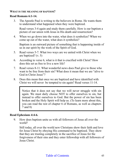#### **WHAT IS THE MEANING OF BAPTISM?**

### **Read Romans 6:1-14.**

3. The Apostle Paul is writing to the believers in Rome. He wants them to understand what happened when they were baptized.

Read verses 3-4 again and study them carefully. How is our baptism a picture of our union with Jesus in His death and resurrection?

4. When we go down into the water, what does it symbolize? When we come up out of the water, what does it symbolize?

Baptism is an outward picture of something that is happening inside of us in our spirit by the work of the Spirit of God.

- 5. Read verses 5-7. What two ways are we united with Christ when we are baptized? (v. 5)
- 6. According to verse 6, what is it that is crucified with Christ? How does this set us free to live a new life?
- 7. Read verses 8-11. What wonderful news does Paul give to those who want to be free from their sin? What does it mean that we are "alive to God in Christ Jesus"?
- 8. Does this mean that once we are baptized and have identified with Christ we will never be tempted to sin again? Read verses 11-14.

Notice that it does not say that we will never struggle with sin again. We must daily choose NOT to offer ourselves to sin, but instead to offer ourselves to God. But the power of sin has been broken and the Holy Spirit will help us. (To learn more about this, you can read the rest of chapter 6 of Romans, as well as chapters  $7$  and 8)

# **Read Ephesians 4:4-6.**

9. How does baptism unite us with all followers of Jesus all over the world?

Still today, all over the world new Christians show their faith and love for Jesus Christ by obeying His command to be baptized. They show that they are trusting completely in the sacrifice of Jesus for the forgiveness of their sins and they enter fellowship with all followers of Jesus Christ.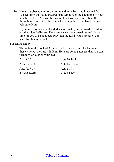10. Have you obeyed the Lord's command to be baptized in water? Do you see from this study that baptism symbolizes the beginning of your new life in Christ? It will be an event that you can remember all throughout your life as the time when you publicly declared that you belong to Him.

If you have not been baptized, discuss it with your fellowship leaders or other older believers. They can answer your questions and plan a time for you to be baptized. Pray that the Lord would prepare your heart for this important event.

#### **For Extra Study:**

Throughout the book of Acts we read of Jesus' disciples baptizing those who put their trust in Him. Here are some passages that you can read now or later on your own:

| Acts $8:12$     | Acts $16:14-15$ |
|-----------------|-----------------|
| Acts $8:26-38$  | Acts $16:22-34$ |
| Acts $9:17-19$  | Acts $18.7 - 8$ |
| Acts $10:44-48$ | Acts $19.4-7$   |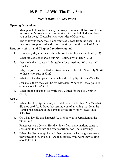# **15. Be Filled With The Holy Spirit**

# *Part 1: Walk In God's Power*

# **Opening Discussion:**

Most people think God is very far away from man. Before you trusted in Jesus the Messiah to be your Savior, did you feel God was close to you or far away? Describe what your idea of God was.

The following story took place after Jesus rose from the dead. Take time as a group to read and enjoy this story from the book of Acts.

# **Read Acts 1:1-14; and Chapter 2 (entire chapter)**

1. How many days did Jesus show himself after his resurrection? (v. 3)

What did Jesus talk about during His times with them? (v. 3)

2. Jesus tells them to wait in Jerusalem for something. What was it?  $(vs. 4-5)$ 

Why do you think the Father gives the valuable gift of the Holy Spirit to those who trust in Him?

3. What will the disciples receive when the Holy Spirit comes? (v. 8)

Jesus tells them they will be his witnesses. Where will they go to tell others about Jesus? (v. 8)

4. What did the disciples do while they waited for the Holy Spirit? (v. 14)

# **Acts 2**

- 5. When the Holy Spirit came, what did the disciples hear? (v. 2) What did they see?  $(v, 3)$  Does that remind you of anything that John the Baptist had said about the baptism of the Holy Spirit? (See Luke 3:15-16)
- 6. On what day did this happen? (v. 1) Who was in Jerusalem at the time?  $(v. 5)$

Pentecost was a Jewish Holiday. Jews from many nations came to Jerusalem to celebrate and offer sacrifices for God's blessings.

7. When the disciples spoke in "other tongues," what languages were they speaking in? (vs. 6-11) As they spoke, what were they talking about? (v. 11)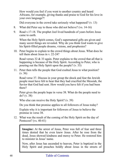How would you feel if you went to another country and heard Africans, for example, giving thanks and praise to God for his love in your own language?!

Did everyone in the crowd take seriously what happened? (v. 13)

- 8. What did Peter say to those who did not believe? (vs. 14-16)
- 9. Read v.17-18. The prophet Joel lived hundreds of years before Jesus came to earth.

When the Holy Spirit comes, God's supernatural gifts are given and many secret things are revealed. Why do you think God wants to give his Spirit-filled people dreams, visions, and prophesies?

10. Peter begins to explain to the crowd things about Jesus. What does he tell them about Jesus in v. 22-24?

Read verses 32 & 33 again. Peter explains to the crowd that all that is happening is because of the Holy Spirit. According to Peter, who is pouring out the Holy Spirit upon the people? (v. 33)

11. Peter then tells the people that God exalted Jesus to what position? (v. 36)

Read verse 37. Discuss in your group the shock and fear the Jewish people must have felt to hear that they had crucified the Messiah, the Savior that God had sent. How would you have felt if you had been there?

Peter gives the people hope in verse 38. What do the people need to do? (v. 38)

Who else can receive the Holy Spirit? (v. 39)

Do you think that promise applies to all followers of Jesus today?

Explain why it is important for followers of Jesus to believe the promise in verse 38.

12. What was the result of the coming of the Holy Spirit on the day of Pentecost? (vs. 40-41)

**Imagine:** At the arrest of Jesus, Peter was full of fear and three times denied that he even knew Jesus. After he rose from the dead, Jesus showed kindness and mercy to Peter. He restored him to minister in Jesus' name.

Now, after Jesus has ascended to heaven, Peter is baptized in the Holy Spirit and preaches boldly about Jesus in the streets of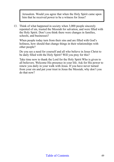Jerusalem. Would you agree that when the Holy Spirit came upon him that he received power to be a witness for Jesus?

13. Think of what happened in society when 3,000 people sincerely repented of sin, trusted the Messiah for salvation, and were filled with the Holy Spirit. Don't you think there were changes in families, schools, and businesses?

When people today turn from their sins and are filled with God's holiness, how should that change things in their relationships with other people?

Do you see a need for yourself and all who believe in Jesus Christ to be daily filled with the Holy Spirit? Will you pray for this?

Take time now to thank the Lord for the Holy Spirit Who is given to all believers. Welcome His presence in your life. Ask for His power to renew you daily in your walk with Jesus. If you have never turned from your sin and put your trust in Jesus the Messiah, why don't you do that now?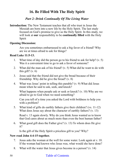# **16. Be Filled With The Holy Spirit**

# *Part 2: Drink Continually Of The Living Water*

**Introduction:** The New Testament teaches that all who trust in Jesus the Messiah are born into a new life by the Holy Spirit. The last study focused on God's promise to give us the Holy Spirit. In this study, we will look at **our** responsibility to be **continually filled** with the Holy Spirit

# **Opening Discussion:**

Are you sometimes embarrassed to ask a big favor of a friend? Why are we at times afraid to ask for things?

# **Read Luke 11:5-13.**

- 1. What time of day did the person go to his friend to ask for help? (v. 5) Was it a convenient time to go to ask a favor of someone?
- 2. What did the man ask of his friend? (v. 5) What did he want to do with this gift?  $(v, 6)$
- 3. Jesus said that the friend did not give the bread because of their friendship. Why did he give the bread? (v. 8)
- 4. What was Jesus' point in telling this parable? (v. 9) What did Jesus mean when he said to ask, seek, and knock?

What happens when people ask or seek or knock? (v. 10) Why are we afraid to go to God when we need something?

Can you tell of a time you asked the Lord with boldness to help you with a problem?

5. What kind of gifts do earthly fathers give their children? (vs. 11-12) What does Jesus say about the character of earthly fathers? (v. 13)

Read v. 13 again slowly. Why do you think Jesus wanted us to know that God cares about us much more than even the best human father?

6. What good gift does the Father give? (v. 13) To whom does He give it?

Is the gift of the Holy Spirit a priceless gift to you? Why?

# **Now read John 4:4-15 together.**

- 7. Jesus asks the woman at the well for some water. Look again at v. 10. If the woman had known who Jesus was, what would she have done?
- 8. What will the water that Jesus gives become in a person? (v. 14)

# Table of Contents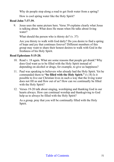Why do people stop along a road to get fresh water from a spring?

How is cool spring water like the Holy Spirit?

### **Read John 7:37-39.**

9. Jesus uses the same picture here. Verse 39 explains clearly what Jesus is talking about. What does He mean when He talks about living water?

What should the person who is thirsty do? (v. 37)

Are you thirsty to walk with God daily? Do you desire to find a spring of hope and joy that continues forever? Different members of this group may want to share their honest desires to walk with God in the freshness of his Holy Spirit.

### **Read Ephesians 5:15-20.**

- 10. Read v. 18 again. What are some reasons that people get drunk? Why does God want us to be filled with the Holy Spirit instead of depending on alcohol or drugs, for example, to give us happiness?
- 11. Paul was speaking to believers who already had the Holy Spirit. Yet he commanded them to **"be filled with the Holy Spirit."** (v.18) Is it possible to live our Christian lives in such a way that the living water does not fill us and flow out of us? How can we continually be filled with the Holy Spirit?
- 12. Verses 19-20 talk about singing, worshiping and thanking God in our hearts always. How can continual worship and thanksgiving to God help us to always be filled with the Holy Spirit?

As a group, pray that you will be continually filled with the Holy Spirit.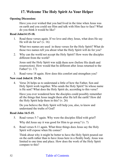# **17. Welcome The Holy Spirit As Your Helper**

#### **Opening Discussion:**

Have you ever wished that you had lived in the time when Jesus was on earth and you could see Him and talk with Him face to face? What do you think it would be like?

#### **Read John14:15-18.**

1. Read these verses again. If we love and obey Jesus, what does He say He will do for us? (v. 16)

What two names are used in these verses for the Holy Spirit? What do those two names tell you about what the Holy Spirit will do for you?

2. Why can the world not accept the Holy Spirit? How were the disciples different from the world?

Jesus said the Holy Spirit was with them now (before His death and resurrection). How would that be different after Jesus returned to the Father? (v. 17)

3. Read verse 18 again. How does this comfort and strengthen you?

#### **Now read John14: 25-26.**

4. Verse 26 helps us to understand a little of how the Father, Son and Holy Spirit work together. Who sends the Holy Spirit? In whose name is He sent? What does the Holy Spirit do, according to this verse?

Have you ever wondered how the disciples could possibly remember all the things that Jesus taught them after He left the earth? How did the Holy Spirit help them in this? (v. 26)

Do you believe the Holy Spirit will help you, also, to know and understand the truths of God?

#### **Read John 16:5-15.**

5. Read verses 5-7 again. Why were the disciples filled with grief?

Why did Jesus say it was good for Him to go away? (v. 7)

6. Read verses 8-11 again. What three things does Jesus say the Holy Spirit will expose when He comes?

Think about why it might be better to have the Holy Spirit poured out on the earth rather than to have Jesus here in a fleshly body. Jesus was limited to one time and place. How does the work of the Holy Spirit compare to this?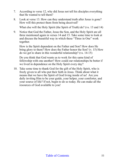- 7. According to verse 12, why did Jesus not tell his disciples everything that He wanted to tell them?
- 8. Look at verse 13. How can they understand truth after Jesus is gone? How will this protect them from being deceived?

What else will the Holy Spirit (the Spirit of Truth) do? (vs. 13 and 14)

9. Notice that God the Father, Jesus the Son, and the Holy Spirit are all three mentioned again in verses 14 and 15. Take some time to look at and discuss the beautiful way in which these "Three in One" work together.

How is the Spirit dependent on the Father and Son? How does He bring glory to them? How does the Father honor the Son? (v. 15) How do we get to share in this wonderful relationship? (vs. 14-15)

Do you think that God wants us to work for this same kind of fellowship with one another? How could our relationships be better if we lived in dependence on the Holy Spirit every day?

10. Take some time to thank God for the gift of the Holy Spirit, who is freely given to all who put their faith in Jesus. Think about what it means that we have the Spirit of God living inside of us! Are you daily inviting Him to be your guide, your helper, your comforter, and your source of life? If not, begin to do so today. He can make all the resources of God available to you!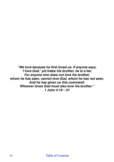*"We love because he first loved us. If anyone says,*  **ʻ***I love God,***'** *yet hates his brother, he is a liar. For anyone who does not love his brother, whom he has seen, cannot love God, whom he has not seen. And he has given us this command: Whoever loves God must also love his brother." 1 John 4:19 – 21*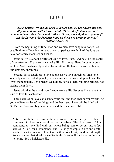# **LOVE**

*Jesus replied: "'Love the Lord your God with all your heart and with all your soul and with all your mind.' This is the first and greatest commandment. And the second is like it: 'Love your neighbor as yourself.' All the Law and the Prophets hang on these two commandments." Matthew 22:37-40*

From the beginning of time, men and women have sung love songs. We usually think of love in a romantic way, or perhaps we think of the love we have for family members or friends.

Jesus taught us about a different kind of love. First, God must be the center of our affection. That means we make Him first in our lives. In other words, we love God unashamedly and with everything He has given us: our hearts, our strength, our minds.

Second, Jesus taught us to love people as we love ourselves. True love sincerely cares about all people, even enemies. God made all people and He loves them equally. Love means we humbly serve others, building bridges, not tearing them down.

Jesus said that the world would know we are His disciples if we have this kind of love for each other.

These studies on love can change your life, and then change your world. As you meditate on Jesus' teachings and do them, your heart will be filled with God's love. You will begin to understand the meaning of life.

**Note:** The studies in this section focus on the second part of Jesus' command to love our neighbor as ourselves. The first part of His command, to love God with our whole being, cannot be put into a few studies. All of Jesus' commands, and His holy example in life and death, teach us what it means to love God with all our heart, mind and strength. So we can say that all of the studies in this book will start you on the road to loving God wholeheartedly.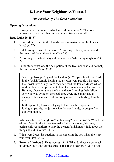# **18. Love Your Neighbor As Yourself**

# *The Parable Of The Good Samaritan*

# **Opening Discussion:**

Have you ever wondered why the world is so cruel? Why do we humans not care for other human beings like we should?

#### **Read Luke 10:25-37.**

- 1. How did the expert in the Jewish law summarize all of the Jewish laws? (v. 27)
- 2. Did Jesus agree with his answer? According to Jesus, what would be the results of doing these things? (v. 28)
- 3. According to the text, why did the man ask "who is my neighbor?" (v. 29)
- 4. In the story, what was the occupation of the two men who did not help the hurting man? (vs. 31-32)

Jewish **priests** (v. 31) and the **Levites** (v. 32 - people who worked in the Jewish Temple helping the priests) were people who knew the Jewish law. Many times they had read the law of Moses which said the Jewish people were to love their neighbors as themselves. But they chose to ignore the law and avoid helping their fellow Jew who was dying on the road. However, the Samaritan, an enemy of Jews, chose to show compassion to the hurting Jewish man.

In this parable, Jesus was trying to teach us the importance of loving all people, not just our family, our friends, or people from our own nation.

- 5. Who was the true **"neighbor"** in this story? (verses 36-37) What kind of sacrifices did the Samaritan make (with his money, his time, perhaps his reputation) to help the beaten Jewish man? Talk about the things he did in verses 34-35.
- 6. What were Jesus' instructions to the expert in the law when the story was over? (vs. 36-37)
- 7. **Turn to Matthew 5. Read verses 43-48.** What do these verses teach us about God? Who are the **true "sons of the Father?"** (vs. 44-45)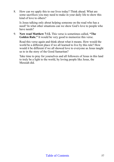8. How can we apply this to our lives today? Think ahead. What are some sacrifices you may need to make in your daily life to show this kind of love to others?

Is Jesus talking only about helping someone on the road who has a need? In what other situations can we show God's love to people who have needs?

9. **Now read Matthew 7:12.** This verse is sometimes called, **"The Golden Rule."** It would be very good to memorize this verse.

Read this verse again and think about what it means. How would the world be a different place if we all learned to live by this rule? How would it be different if we all showed love to everyone as Jesus taught us to in the story of the Good Samaritan?

Take time to pray for yourselves and all followers of Jesus in this land to truly be a light to the world, by loving people like Jesus, the Messiah did.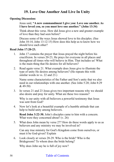# **19. Love One Another And Live In Unity**

# **Opening Discussion:**

### Jesus said, **"A new commandment I give you: Love one another. As I have loved you, so you must love one another." (John 13:34)**

Think about this verse. How did Jesus give a new and greater example of love than they had seen before?

Discuss some of the ways Jesus showed love to his disciples. (See John 10:14; John 13:12-15) How does this help us to know how we should love each other?

### **Read John 17:20-23.**

- 1. John 17 contains the prayer that Jesus prayed the night before his crucifixion. In verses 20-23, He prays for everyone in all places and throughout all times who will believe in Him. That includes us! What is the main thing that He desires for all believers?
- 2. Read again verse 21. What example does Jesus give to illustrate the type of unity He desires among believers? (He repeats this with similar words in vs. 22 and 23.)

Name some characteristics of the Father and Son's unity that we also need in our relationships with one another. (See John 5:20; John 8:29 & 49-50)

3. In verses 21 and 23 Jesus gives two important reasons why we should also desire and pray for unity. What are these two reasons?

Why is our unity with all believers a powerful testimony that Jesus was sent from God?

4. Now let's look at a beautiful example of a humble attitude that can help to build unity among believers.

**Read John 3:22-30.** John's disciples came to him with a concern. What were they concerned about? (v. 26)

5. What does John mean by verse 27? How do these words apply to us as believers and any ministry we may be involved in?

Can any true ministry for God's Kingdom come from ourselves, or must it be God-given? Explain

6. Look closely at verses 28-29. Who is the bride? Who is the Bridegroom? To whom does the bride belong?

Why does John say he is full of joy now?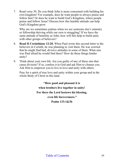7. Read verse 30. Do you think John is more concerned with building his own kingdom? For example, does he want people to always praise and follow him? Or does he want to build God's Kingdom, where people praise and follow Jesus? Discuss how this humble attitude can help God's Kingdom grow.

Why are we sometimes jealous when we see someone else's ministry or fellowship thriving while our own is struggling? If we have the same attitude of humility as John, how will this help to build unity with other groups of believers?

- 8. **Read II Corinthians 12:20.** When Paul wrote this second letter to the believers in Corinth, he was planning to visit them. He was worried that he might find bad, divisive attitudes in some of them. What sins was Paul afraid he would find there? How do these things hinder unity?
- 9. Think about your own life. Are you guilty of any of these sins that cause division? If so, confess it to God and ask Him to cleanse you. Ask Him to empower you to live in love and unity with others.

Pray for a spirit of true love and unity within your group and in the whole Body of Christ in this land.

> **"How good and pleasant it is when brothers live together in unity! For there the Lord bestows his blessing, even life forevermore." Psalm 133:1&3b**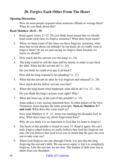# **20. Forgive Each Other From The Heart**

# **Opening Discussion:**

How do most people respond when someone offends or wrongs them? What do you think about this?

### **Read Matthew 18:21– 35.**

- 1. Read again verses 21-22. Do you think Jesus meant that we should keep count each time we forgive someone? What does Jesus mean?
- 2. When we keep count of the times we have forgiven someone, what does that reveal about our attitude? In our heart, do we really want to forgive them? Or are we just saying we forgive them because we know we should?
- 3. How much did the servant owe the king? (v. 24)
- 4. The king wanted to sell the man and his family in order to pay back the debt. What did the servant do? (v. 26) Do you think he could ever pay it all back?

How did the king respond to his pleading? (v. 27)

- 5. What did the servant do after he was forgiven and released? (v. 28) How much did his fellow servant owe him?
- 6. When the king heard what happened, what did he do? (vs.  $32 34$ ). Do you think the king's actions were right? Why?
- 7. What did Jesus say at the end of this parable? (v. 35)

Jesus makes a very serious statement here. In other places of the New Testament, Jesus teaches the same principle. **Turn to Matthew 5:7 and read.** What does this verse teach us?

Now read Matthew 6: 9 –15. Jesus was teaching his disciples how to pray. What does Jesus say about forgiveness here?

Why do you think it is so important to God that we learn to forgive?

- 8. The heart of this parable is found in verse 33. Read it again. We can't truly forgive others unless we really believe that God has forgiven our sins. Do you believe that God loves you so much that He gave his own son to take your sin?
- 9. When God forgives our sins through Christ, it is just like the king forgiving the servant's debt. We can never repay it, but it is completely forgiven. Like the servant, we are free. The burden of debt (our sin) is taken from our shoulders.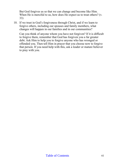But God forgives us so that we can change and become like Him. When He is merciful to us, how does He expect us to treat others? (v. 33)

10. If we trust in God's forgiveness through Christ, and if we learn to forgive others, including our spouses and family members, what changes will happen in our families and in our communities?

Can you think of anyone whom you have not forgiven? If it is difficult to forgive them, remember that God has forgiven you a far greater debt. Ask Him to help you to forgive anyone who has wronged or offended you. Then tell Him in prayer that you choose now to forgive that person. If you need help with this, ask a leader or mature believer to pray with you.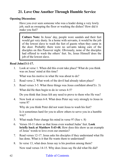# **21. Love One Another Through Humble Service**

# **Opening Discussion:**

Have you ever seen someone who was a leader doing a very lowly job, such as sweeping the floor or washing the dishes? How did it make you feel?

**Culture Note:** In Jesus' day, people wore sandals and their feet would get very dusty. In a home with servants, it would be the job of the lowest slave to wash the feet of guests when they came in the door. Probably there were no servants taking care of the disciples on this Passover night. Obviously, none of the disciples had offered to wash the others' feet. So, Jesus Himself does the job of the lowest slave.

# **Read John13:1-17.**

1. Look at verse 1. When did this event take place? What do you think was on Jesus' mind at this time?

What was his motive in what He was about to do?

- 2. Read verse 2. What work of the devil had already taken place?
- 3. Read verses 3-5. What three things was Jesus confident about?(v. 3) What did He then begin to do in verses 4-5?

Do you think that Jesus felt any need to prove to them who He was?

4. Now look at verses 6-8. What does Peter say very strongly to Jesus in verse 8?

Why do you think Peter did not want Jesus to wash his feet?

Is it sometimes hard for you to allow others to serve you in a humble way?

- 5. What made Peter change his mind in verse 9? (See v. 8)
- 6. Verses 10-11 show us that Jesus even washed Judas' feet. **Look briefly back at Matthew 5:43-48.** How does this show us an example of Jesus' words to love even our enemies?
- 7. Read verses 12-17. Jesus asks his disciples if they understand what He has done. What is it that He wants them to understand?
- 8. In verse 13, what does Jesus say is his position among them? Now read verses 14-15. Why does Jesus say He did what He did?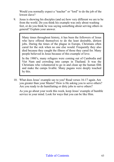Would you normally expect a "teacher" or "lord" to do the job of the lowest slave?

9. Jesus is showing his disciples (and us) how very different we are to be from the world. Do you think his example was only about washing feet, or do you think he was saying something about serving others in general? Explain your answer.

Many times throughout history, it has been the followers of Jesus who have offered themselves to do the least desirable, dirtiest jobs. During the times of the plague in Europe, Christians often cared for the sick when no one else would. Frequently they also died because they caught the illness of those they cared for. Many people believed in Jesus because of this example of love.

In the 1980's, many refugees were coming out of Cambodia and Viet Nam and crowding into camps in Thailand. It was the Christians who volunteered to go in and clean up the human filth and make the camps livable. Many pagans were deeply touched by this.

10. What does Jesus' example say to you? Read verses 16-17 again. Are you greater than your Master? How is He asking you to serve others? Are you ready to do humiliating or dirty jobs to serve others?

As you go about your work this week, keep Jesus' example of humble service in your mind. Look for ways that you can be like Him.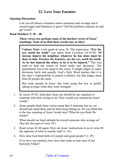# **22. Love Your Enemies**

# **Opening Discussion:**

Can you tell about a situation where someone took revenge and it caused anger and bitterness to grow? Did the problem continue on and get worse?

#### **Read Matthew 5: 38 – 48.**

**These verses are perhaps some of the hardest verses of Jesus' teachings. None of us find these words easy to obey!**

**Culture Note:** Look again at verse 38. The expression: **"Eye for eye, tooth for tooth"** was taken from Leviticus 24:19-20. **"If anyone injures his neighbor, whatever he has done must be done to him: fracture for fracture, eye for eye, tooth for tooth. As he has injured the other, so he is to be injured."** This was used to help the courts of Israel make just decisions. The punishment was to be equal to the crime. It taught judges to make decisions fairly and equally. God's Holy Word teaches that it is the state's responsibility to punish evildoers, but that judges must treat all people the same.

But some people in Jesus' day were using this law to justify taking revenge when they were wronged.

- 1. In verses 39-42, what does Jesus say should be our response to someone who does wrong to us? How would you summarize Jesus' words?
- 2. Some people think these verses mean that if someone hits us, we should just stand there and let them keep hitting us. Do you think this is the true meaning of Jesus' words here? What do you think He means?

What should our heart attitude be toward someone who wrongs us? (See the first part of verse 39.)

- 3. Read verses 43-48 again. How are Jesus' instructions to us in verse 44 the opposite of what is usually said? (v. 43)
- 4. How does God treat both evil people and good people? (v. 45)

If we love our enemies, how does that make us true sons of our heavenly Father?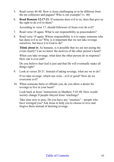- 5. Read verses 46-48. How is Jesus challenging us to be different from the tax collectors and pagans? Who is our example? (v. 48)
- 6. **Read Romans 12:17-21.** If someone does evil to us, does that give us the right to do evil to them?

According to verse 17, should followers of Jesus ever do evil?

- 7. Read verse 18 again. What is our responsibility as peacemakers?
- 8. Read verse 19 again. Whose responsibility is it to repay someone who has done evil to us? Why is it important that we not take revenge ourselves, but leave it to God to do?

**Think about it:** As humans, is it possible that we are not seeing the event clearly? Can we know the motives of the other person's heart?

When you take revenge, what does the other person do in response? How can it ever end?

Do you believe that God is just and that He will eventually make all things right?

9. Look at verses 20-21. Instead of taking revenge, what are we to do?

If we take revenge, which one wins—evil or good? How do we overcome evil?

10. When someone hurts or offends you, do you allow a desire for revenge to live in your heart?

Look back at Jesus' instructions in Matthew 5:43-48. How would society change if people obeyed Jesus' teachings?

Take time now to pray. Do you have any "enemies"—people who have wronged you? Ask Jesus to help you to choose to love and forgive them instead of desiring revenge.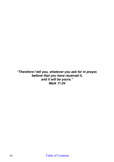*"Therefore I tell you, whatever you ask for in prayer, believe that you have received it, and it will be yours." Mark 11:24*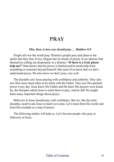# **PRAY**

#### *This, then, is how you should pray… Matthew 6:9*

People all over the world pray. Primitive people pray and chant to the spirits that they fear. Every religion has its rituals of prayer. Even atheists find themselves calling out desperately in a disaster: **"If there is a God, please help me!"** Man knows that his power is limited and he needs help from something or someone beyond himself. But most of us know that we don't understand prayer. We also know we don't pray very well.

The disciples saw Jesus praying with confidence and authority. They also saw Him leave them often to be alone with the Father. They saw His spiritual power every day. Jesus knew His Father and He knew His prayers were heard. So, the disciples asked Jesus to teach them to pray. And he did! He taught them many important things about prayer.

Believers in Jesus should pray with confidence. But we, like the early disciples, need to ask Jesus to teach us to pray. Let's learn from His words and from His example as a man of prayer.

The following studies will help us. Let's become people who pray as followers of Jesus.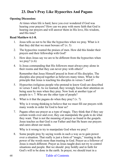# **23. Don't Pray Like Hypocrites And Pagans**

# **Opening Discussion:**

At times when life is hard, have you ever wondered if God was hearing your prayers? How can we pray with more faith that God is hearing our prayers and will answer them in His love, His wisdom, and His time?

### **Read Matthew 6:1-8.**

- 1. Jesus tells us not to be like the hypocrites when we pray. What is it that they did that we must beware of?  $(v, 5)$
- 2. The hypocrites wanted the praises of men. How did this hinder their prayers and their fellowship with God?
- 3. How does Jesus say we are to be different from the hypocrites when we pray?  $(v.6)$
- 4. Is Jesus commanding that His followers must always pray alone in their rooms and that they can never pray with others?

Remember that Jesus Himself prayed in front of His disciples. The disciples also prayed together as believers many times. What is the principle that Jesus is teaching his disciples in verses 5 and 6?

- 5. Hypocrites (religious people who pretend to know God) are described in verses 5 and 6. As we learned, they wrongly focus their attention on being seen by men when they pray. Now look at another type of people in v. 7. Who are the other type of people?
- 6. What is it that the pagans do when they pray? (v. 7)

Why is it wrong thinking to believe that we must fill our prayers with many words in order for God to hear us?

7. Pagans often use prayer as a type of magic. They think that if they say certain words over and over, they can manipulate the gods to do what they want. That is not the meaning of prayer as found in the gospels. Jesus teaches us that God is our Father and that He hears our prayers and cares about our needs.

Why is it wrong to try to manipulate God when we pray?

8. Some people pray by saying words in such a way as to gain power over a situation. That really is just a form of "magic," trusting in the power of the words more than trusting in God. Prayer as a follower of Jesus is much different. Prayer as Jesus taught does not try to control situations and people. But we should pray boldly and in faith for God's will to be done in the earth. In prayer, we should trust in a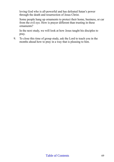loving God who is all-powerful and has defeated Satan's power through the death and resurrection of Jesus Christ.

Some people hang up ornaments to protect their home, business, or car from the evil eye. How is prayer different than trusting in these ornaments?

In the next study, we will look at how Jesus taught his disciples to pray.

9. To close this time of group study, ask the Lord to teach you in the months ahead how to pray in a way that is pleasing to him.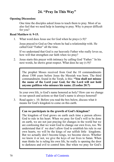# **24. "Pray In This Way"**

# **Opening Discussion:**

One time the disciples asked Jesus to teach them to pray. Most of us also feel that we need help in learning to pray. Why is prayer difficult for you?

### **Read Matthew 6: 9-15.**

1. What word does Jesus use for God when he prays (v.9)?

Jesus prayed to God as One whom he had a relationship with. He called God "Father" all the time.

If we understand that God is our heavenly Father who really loves us, how will that strengthen our faith when we pray?

2. Jesus starts this prayer with intimacy by calling God "Father." In his next words, he shows great respect. What does he say (v.9)?

The prophet Moses received from God the 10 commandments about 1500 years before Jesus the Messiah was born. The third commandment, found in the Torah, is this: **"You shall not misuse the name of the Lord your God, for the Lord will not hold anyone guiltless who misuses his name. (Exodus 20:7)**

In your own life, is God's name honored as holy? How can we change in our speech and actions so that God's name is always honored?

3. Read again v. 10. Before you read the box below, discuss what it means for God's kingdom to come on this earth.

# **Can we participate in the growth of God's Kingdom?**

The kingdom of God grows on earth each time a person allows God to rule in his heart. When we pray for God's will to be done on earth, we are not just praying for changes in the world but we are confessing that we want God to change our own lives, too. We understand that if we don't allow God to establish his rule in our own hearts, we will be the kings of our selfish little kingdoms. But we actually don't become kings, we become slaves. Whether we know it or not, we give the keys of our lives to Satan. When man thinks he is ruling his own life, he really is opening the door to darkness and evil to control him. But when we pray for God's

# Table of Contents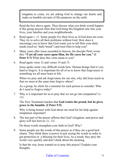kingdom to come, we are asking God to change our hearts and make us humble servants of His purposes on the earth.

Read the box above again. Then discuss what you think would happen if this group prayed often that God bring His kingdom rule into your lives, your families and your neighborhoods.

- 4. Read again v. 11. Some people live their lives as if God does not exist. They try to solve all their problems without God. How does it encourage you to know that God wants you to tell Him your daily needs (such as "daily bread") and trust Him to help you?
- 5. Many years after Jesus ascended to heaven, his disciple Peter wrote this: **"Cast all your cares upon Him, for He cares for you." (1**  Peter 5:7) What does this verse mean to you?
- 6. Read again verse 12 and verses 14 and 15.

Jesus spoke some very difficult words here. Human beings find it very hard to forgive. It is important for all of us to know that forgiveness is something we all must learn in life.

When we pray and ask forgiveness for our sins, why did Jesus teach us that we must at the same time forgive others?

As a group, be silent for a moment for each person to consider: Who do I need to forgive today?

7. Why is it important for us to pray that we not go into temptation? (v. 13)

The New Testament teaches that **God resists the proud, but he gives grace to the humble. (I Peter 5:5)**

Why is being honest with God about our need for his help against temptation important?

8. The last part of the prayer affirms that God's kingdom, and power and glory will last forever. (v. 13)

Do those words strengthen your faith in God? Why?

9. Some people use the words of this prayer as if they are a good luck charm. They think there is power in just saying the words in order to get protection or a blessing for their lives. As a result, they pray the words very quickly and don't think about the meaning.

Is that the way Jesus wanted us to pray this prayer? Explain your thoughts.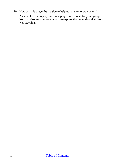10. How can this prayer be a guide to help us to learn to pray better?

As you close in prayer, use Jesus' prayer as a model for your group. You can also use your own words to express the same ideas that Jesus was teaching.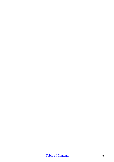### Table of Contents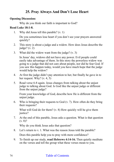# **25. Pray Always And Don't Lose Heart**

### **Opening Discussion:**

Why do you think our faith is important to God?

### **Read Luke 18:1-8.**

1. Why did Jesus tell this parable? (v. 1)

Do you sometimes lose heart if you don't see your prayers answered quickly?

- 2. This story is about a judge and a widow. How does Jesus describe the judge?  $(v, 2)$
- 3. What did the widow want from the judge? (v. 3)

In Jesus' day, widows did not have any power. Evil people could easily take advantage of them. In this story the powerless widow was going to a judge that did not care about people, nor did he fear God. If you saw this happen today, would you have much hope that the judge would help the widow?

- 4. At first the judge didn't pay attention to her, but finally he gave in to her request. Why?  $(v, 4, 5)$
- 5. Read verse 6-8 again. Jesus changes from talking about the unjust judge to talking about God. Is God like the unjust judge or different from the uniust judge?

From your knowledge of God, describe how He is different from the unjust judge.

6. Who is bringing their requests to God (v. 7). How often do they bring their requests?

What will God do for them? (v. 8) How quickly will he give them justice?

7. At the end of this parable, Jesus asks a question. What is that question (v. 8)?

Why do you think Jesus asks that question?

- 8. Let's return to v. 1. What was the reason Jesus told the parable? Does this parable help you to pray with more confidence?
- 9. To finish up our study, **read Hebrews 4:14-16.** Then quietly meditate on the verses and tell the group what these verses mean to you.

### Table of Contents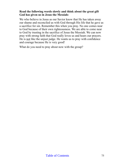#### **Read the following words slowly and think about the great gift God has given us in Jesus the Messiah:**

We who believe in Jesus as our Savior know that He has taken away our shame and reconciled us with God through His life that he gave as a sacrifice for sin. Remember this when you pray. No one comes near to God because of their own righteousness. We are able to come near to God by trusting in the sacrifice of Jesus the Messiah. We can now pray with strong faith that God really loves us and hears our prayers. He is not like the unjust judge. He wants us to pray with confidence and courage because He is very good!

What do you need to pray about now with the group?

### Table of Contents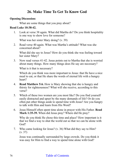# **26. Make Time To Get To Know God**

### **Opening Discussion:**

What are some things that you pray about?

### **Read Luke 10:38-42.**

1. Look at verse 38 again. What did Martha do? Do you think hospitality is one way to show love for someone?

What was her sister Mary doing? (v. 39)

2. Read verse 40 again. What was Martha's attitude? What was she concerned about?

What did she say to Jesus? How do you think she was feeling toward her sister Mary?

3. Now read verses 41-42. Jesus points out to Martha that she is worried about many things. How many things does He say are necessary?

What is it that is necessary?

Which do you think was more important to Jesus: that He have a nice meal to eat, or that He share the words of eternal life with a hungry heart?

- 4. **Read Matthew 5:6.** How is Mary showing that she is hungry and thirsty for righteousness? What will she receive, according to this verse?
- 5. Which of these two women are you most like? Do you find yourself easily distracted and upset by the many demands of life? Or do you often put other things aside to spend time with Jesus? Are you hungry to talk with Him and learn from His Word?
- 6. Jesus Himself often spent time alone in prayer with His Father. **Read Mark 1:35-39.** When did Jesus pray? Where did He pray?

Why do you think He chose this time and place? How important is it that we find a way to shut the world out so that we can be alone with God?

7. Who came looking for Jesus? (v. 36) What did they say to Him? (v. 37)

Jesus was continually surrounded by large crowds. Do you think it was easy for Him to find a way to spend time alone with God?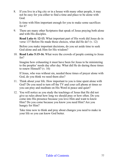8. If you live in a big city or in a house with many other people, it may not be easy for you either to find a time and place to be alone with God.

Is time with Him important enough for you to make some sacrifices for it?

9. There are many other Scriptures that speak of Jesus praying both alone and with His disciples.

**Read Luke 6: 12-13.** What important part of His work did Jesus do in verse 13? Before He made those choices, what did He do? (v. 12)

Before you make important decisions, do you set aside time to seek God alone and ask Him for His wisdom?

10. **Read Luke 5:15-16.** What were the crowds of people coming to Jesus for?

Imagine how exhausting it must have been for Jesus to be ministering to the peoples' needs day after day. What did He do during these times to renew Himself? (v. 16)

If Jesus, who was without sin, needed these times of prayer alone with God, do you think we need them also?

- 11. Think about your life. How important to you is time spent alone with God? Do you need to turn off the TV and your cell phone at times so you can pray and meditate on His Word in peace and quiet?
- 12. You will notice as you study the teachings of Jesus that He did not give us rules about how long we should pray or how often. Do you come into His presence because you love Him and want to know Him? Do you come because you know you need Him? Are you hungry for Him?

Take time now to think and pray about changes you need to make in your life so you can know God better.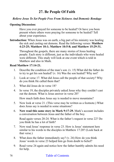# **27. Be People Of Faith**

### *Believe Jesus To Set People Free From Sickness And Demonic Bondage*

#### **Opening Discussion:**

Have you ever prayed for someone to be healed? Or have you been present where others were praying for someone to be healed? Tell about your experience.

**Introduction:** When Jesus was on earth, a big part of his ministry was healing the sick and casting out demons. Read the following verses: **Matthew 4:23-25; Matthew 10:1; Matthew 10:5-8; and Matthew 15:29-31.**

> Throughout the gospels, there are many stories of Jesus healing people. Each story is different, just as the individuals who were healed were different. This study will look at one event which is told in Matthew and also in Mark.

#### **Read Matthew 17:14-21.**

- 1. Describe the condition of the man's son. (v. 15) What did the father do to try to get his son healed? (v. 16) Was the son healed? Why not?
- 2. Look at verse 17. What did Jesus call the people of that society? Why do you think He called them that?
- 3. What did Jesus do in verse 18?
- 4. In verse 19, the disciples privately asked Jesus why they couldn't cast out the demon. What is Jesus answer in verse 20?

How much faith does Jesus say is needed to move mountains?

- 5. Now look at verse 21. (This verse may be written as a footnote.) What does Jesus say is needed in some situations?
- 6. **Now read this same story in Mark 9:17-29.** Mark's account includes a conversation between Jesus and the father of the boy.

Read again verses 20-24. What is the father's request in verse 22? Do you think he has a lot of faith?

- 7. Now read Jesus' response in verse 23. How is Jesus' statement here similar to his words to the disciples in Matthew 17:20? (Look back at that verse.)
- 8. What does the father immediately say? (v. 24) How do you think Jesus' words in verse 23 helped him go from doubt to belief?
- 9. Read verse 24 again and notice how the father humbly admits his need for help.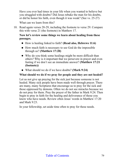Have you ever had times in your life when you wanted to believe but you struggled with doubts? Did Jesus rebuke the man for his doubts, or did he honor his faith, even though it was weak? (See vs. 25-27)

What can we learn from this?

10. Read again verses 28-29, including the footnote to verse 29. Compare this with verse 21 (the footnote) in Matthew 17.

#### **Now let's review some things we learn about healing from these passages.**

- How is healing linked to faith? **(Read also, Hebrews 11:6)**
- How much faith is necessary to see God do the impossible through us? **(Matthew 17:20)**
- Why do you think some healings might be more difficult than others? Why is it important that we persevere in prayer and even fasting if we don't see an immediate answer? **(Matthew 17:21 (footnote))**
- What should we do if we have doubts? **(Mark 9:24)**

#### **What should we do if we pray for people and they are not healed?**

Let us not give up praying for the sick just because someone is not healed. Many sick people have been made well through prayer. There are many, many Scriptures that encourage us to pray for the sick and those oppressed by demons. Often we do not see miracles because we do not pray for them. Pray the prayer of the father in Mark 9:24. Then begin to pray in faith for the healing and deliverance of those you know who have needs. Review often Jesus' words in Matthew 17:20 and Mark 9:23.

In your fellowship, set aside time often to pray for these needs.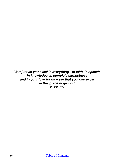*"But just as you excel in everything—in faith, in speech, in knowledge, in complete earnestness and in your love for us – see that you also excel in this grace of giving." 2 Cor. 8:7*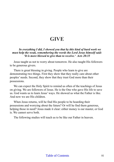# **GIVE**

#### *In everything I did, I showed you that by this kind of hard work we must help the weak, remembering the words the Lord Jesus himself said: 'It is more blessed to give than to receive.' Acts 20:35*

Jesus taught us not to worry about tomorrow. He also taught His followers to be generous givers.

There is great blessing in giving. People who learn to give are demonstrating two things. First they show that they really care about other peoples' needs. Second, they show that they trust God more than their possessions.

We can expect the Holy Spirit to remind us often of the teachings of Jesus on giving. We are followers of Jesus. He is the One who gave His life to save us. God wants us to learn Jesus' ways. He showed us what the Father is like. And now we are His children.

When Jesus returns, will he find His people to be hoarding their possessions and worrying about the future? Or will he find them generous, helping those in need? Jesus made it clear: either money is our master, or God is. We cannot serve both.

The following studies will teach us to be like our Father in heaven.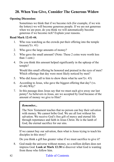# **28. When You Give, Consider The Generous Widow**

### **Opening Discussion:**

Sometimes we think that if we become rich (for example, if we win the lottery) we will become generous people. If we are not generous when we are poor, do you think we will automatically become generous if we become rich? Explain your reasons.

#### **Read Mark 12:41-44.**

- 1. Who was watching as the crowds put their offering into the temple treasury?(v. 41)
- 2. Who gave the large amounts of money?
- 3. Who gave the small amount? (Note: These 2 coins were worth less than 1 cent.)
- 4. Do you think this amount helped significantly in the upkeep of the temple?

Would this small offering be honored and praised in the eyes of men? Which offerings that day were most likely noticed by men?

- 5. Who did Jesus call to him to show them what he saw?( $v. 43$ )
- 6. According to Jesus, who gave the biggest offering that day? (vs. 43-44) Why?
- 7. In this passage does Jesus say that we must each give away our last penny? As believers in Jesus, are we accepted by God because of the amount of money we give to Him?

### *Remember...*

The New Testament teaches that no person can buy their salvation with money. We cannot bribe God. We are all lost without his salvation. We receive God's free gift of mercy and eternal life through repentance and faith in Jesus Christ. He is the lamb of God, the eternal sacrifice for our sins.

If we cannot buy our salvation, then what is Jesus trying to teach his disciples in this story?

Do you think a gift has greater value if we must sacrifice to give it?

8. God made the universe without money, so a million dollars does not impress God. **Look at Mark 12:30** to discover what God is wanting from those who follow him.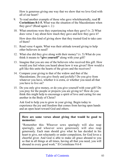How is generous giving one way that we show that we love God with all of our heart?

- 9. To read another example of those who gave wholeheartedly, read **II Corinthians 8:1-5.** What was the situation of the Macedonians when they gave? (Read again v. 2.)
- 10. What emotions were they experiencing when they gave? (v. 2) What does verse 3 say about how much they gave and how they gave it?

How does this kind of giving show that they trusted God to take care of them?

- 11. Read verse 4 again. What was their attitude toward giving to help other believers in need?
- 12. What else did they give along with their money? (v. 5) What do you think it means to **"give yourself"** along with your gift?
- 13. Imagine that you are one of the believers who received this gift. How would you feel when you heard about how it was given? How would a gift like this unite the hearts of the givers and the receivers?
- 14. Compare your giving to that of the widow and that of the Macedonians. Do you give freely and joyfully? Do you give from whatever you have, whether it is extra, or whether you need all that you have to live on?
- 15. Do you only give money, or do you give yourself with your gift? Do you pray for the people or projects you are giving to? How do you think this might help to encourage a spirit of love and caring for one another in the Body of Christ?

Ask God to help you to grow in your giving. Begin today to experience the joy and freedom that comes from having open hands and an open heart toward God and others.

### **Here are some verses about giving that would be good to memorize:**

"Remember this: Whoever sows sparingly will also reap sparingly, and whoever sows generously will also reap generously. Each man should give what he has decided in his heart to give, not reluctantly or under compulsion, for God loves a cheerful giver. And God is able to make all grace abound to you so that in all things at all times, having all that you need, you will abound in every good work." II Corinthians 9:6-8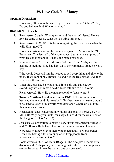# **29. Love God, Not Money**

### **Opening Discussion:**

Jesus said, "It is more blessed to give than to receive." (Acts 20:35) Do you believe this? Why or why not?

#### **Read Mark 10:17-31.**

- 1. Read verse 17 again. What question did the man ask Jesus? Notice *how* he came to Jesus. What do you think this shows?
- 2. Read verses 18-20. What is Jesus suggesting the man means when he calls Him **"good"**?

Jesus then lists several of the commands given to Moses in the Old Testament. This isn't all of the commands, but rather a sampling of what He's talking about. What is the man's response?

3. Now read verse 21. How did Jesus feel toward him? Why was he lacking something, if he had kept all of the commands since he was a boy?

Why would Jesus tell him he needed to sell everything and give to the poor? If we cannot buy eternal life and it is the free gift of God, then what does this mean?

4. What did Jesus say he would have if he sold and gave away everything? (v. 21) What else did Jesus tell him to do in verse 21?

Read verse 22. How did the man respond to Jesus' words?

- 5. **Turn to Matthew 6 and read verses 19-21.** If his treasure was in heaven, where would his heart be? If his heart were in heaven, would it be hard to let go of his worldly possessions? Where do you think this man's heart was?
- 6. Read again Jesus' conversation with his disciples in verses 23-27 of Mark 10. Why do you think Jesus says it is hard for the rich to enter the Kingdom of God? (v. 23)
- 7. Jesus uses exaggeration to make a very strong statement in verses 24 and 25. If your Bible has a footnote with verse 24, read that also.

Now read Matthew 6:24 to help you understand His words better. How does having a lot of money often keep people from wholeheartedly serving God?

8. Look at verses 26-27 of Mark 10 again. The disciples become very discouraged. Perhaps they are thinking that if the rich and important cannot be saved, it may be that no one can be saved.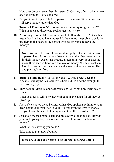How does Jesus answer them in verse 27? Can any of us—whether we are rich or poor—save ourselves?

9. Do you think it's possible for a person to have very little money, and still serve money rather than God?

Turn to I Timothy 6:6-10. What does verse 6 say is "great gain"? What happens to those who seek to get rich? (v. 9)

10. According to verse 10, what is the root of all kinds of evil? Does this mean that it is bad to have money? Is the money the problem, or is the problem in the heart of the person who has or wants to have the money?

**Note:** We must be careful that we don't judge others. Just because a person has a lot of money does not mean that they love or trust in their money. Also, just because a person is very poor does not mean their heart is free from the love of money. We must each ask God to examine our own hearts and show us if we are loving Him and putting Him first.

- 11. **Turn to Philippians 4:10-13.** In verse 12, what secret does the Apostle Paul say he has learned? Where did He find the strength to live this way? (v. 13)
- 12. Turn back to Mark 10 and read verses 28-31. What does Peter say to Jesus?

What does Jesus tell Peter they will gain in exchange for all they've given up?

- 13. As you've studied these Scriptures, has God spoken anything to your heart about your own life? Is your life free from the love of money? Do you know the secret of being content in all circumstances?
- 14. Jesus told the rich man to sell and give away all that he had. How do you think giving helps us to keep our lives free from the love of money?

What is God showing you to do?

Take time to pray now about it.

**Here are some good verses to memorize: Hebrews 13:5-6**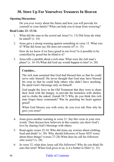# **30. Store Up For Yourselves Treasures In Heaven**

### **Opening Discussion:**

Do you ever worry about the future and how you will provide for yourself or your family? What can help you to keep from worrying?

### **Read Luke 12: 13-34.**

- 1. What did the man in the crowd ask Jesus? (v. 13) Did Jesus do what he asked? (v. 14)
- 2. Jesus gave a strong warning against something in verse 15. What was it? What did Jesus say life does not consist of? (v. 15)

How do we know if we have greed in our lives? Is it possible to be controlled by greed but be blind to it?

3. Jesus tells a parable about a rich man. What were the rich man's plans? (v. 16-19) What did God say would happen to him? (v. 20)

### **Consider...**

The rich man assumed that God had blessed him so that he could serve only himself. He never thought that God may have blessed his crop so that he could help others who didn't have anything. He spent God's blessings only on himself.

God taught the Jews in the Old Testament that they were to share their food with the hungry, to provide the homeless with shelter, and to clothe the naked. (Isaiah 58:7) Why do you think this rich man forgot these commands? Was he guarding his heart against greed?

When God blesses you with extra, do you ever ask Him why he gave you extra?

- 4. Jesus gives another warning in verse 21. Say this verse in your own words. Then discuss how believers in this country can show God's love by sharing God's blessings with others.
- 5. Read again verses 22-34. Who did Jesus say worries about clothing, food and drink? (v. 30) Why should followers of Jesus NOT worry about these things? (verses 27-28) What does he call his followers who worry? (v. 28)
- 6. In verse 32, what does Jesus call His followers? Why do you think He uses this term? When God gives to us, is it a bother to Him? (v. 32)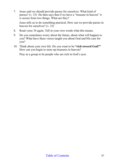7. Jesus said we should provide purses for ourselves. What kind of purses? (v. 33) He then says that if we have a "treasure in heaven" it is secure from two things. What are they?

Jesus tells us to do something practical. How can we provide purses in heaven for ourselves? (v. 33)

- 8. Read verse 34 again. Tell in your own words what this means.
- 9. Do you sometimes worry about the future, about what will happen to you? What have these verses taught you about God and His care for you?
- 10. Think about your own life. Do you want to be **"rich toward God?"** How can you begin to store up treasures in heaven?

Pray as a group to be people who are rich in God's eyes.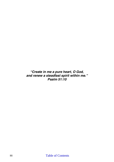*"Create in me a pure heart, O God, and renew a steadfast spirit within me." Psalm 51:10*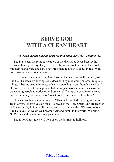# **SERVE GOD WITH A CLEAN HEART**

#### *"Blessed are the pure in heart for they shall see God." Matthew 5:8*

The Pharisees, the religious leaders of the day, hated Jesus because he exposed their hypocrisy. They put on a religious mask to deceive the people, but their hearts were unclean. They pretended to know God but in reality did not know what God really wanted.

If we do not understand that God looks at the heart, we will become just like the Pharisees. Following Jesus does not begin by doing external religious things. It begins deep within us. What is happening in our thoughts each day? Do we live with lust, or anger and hatred, or jealousy and covetousness? Are we wanting people to notice us and praise us? Do we use people to serve our needs? Is money our secret idol? What do we think about all the time?

How can we become pure in heart? Thanks be to God for the good news of Jesus Christ. He forgives our sins. He gives us the Holy Spirit. And He teaches us His ways. By living in His grace, each day is a new day. We learn to love like He loves. As we do we become "salt and light" in the world. We bring God's love and beauty into every situation.

The following studies will help us on the journey to holiness.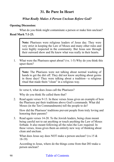# **31. Be Pure In Heart**

### *What Really Makes A Person Unclean Before God?*

### **Opening Discussion:**

What do you think might contaminate a person or make him unclean? **Read Mark 7:1-23.**

> **Note:** Pharisees were religious leaders of Jesus day. They were very strict in keeping the Law of Moses and many other rules and were highly respected in the community. But Jesus saw through their outward show and He knew what was really in their hearts.

1. What were the Pharisees upset about? (vs. 1-5) Why do you think this upset them?

**Note:** The Pharisees were not talking about normal washing of hands to get the dirt off. They did not know anything about germs in those days! They were talking about a tradition—a religious ritual that made them "clean" in a religious way.

In verse 6, what does Jesus call the Pharisees?

Why do you think He called them that?

2. Read again verses 9-13. In these verses Jesus gives an example of how the Pharisees put their traditions above God's commands. What did Moses (in the Ten Commandments) tell the people to do?

How did the Pharisees' traditions prevent people from truly loving and honoring their parents?

3. Read again verses 14-20. To the Jewish leaders, being clean meant being careful not to eat anything or touch anything the Law of Moses forbade. It also meant following all the rules the Law required. In these verses, Jesus gives them an entirely new way of thinking about clean and unclean.

What does Jesus say does NOT make a person unclean? (vs.15 & 18-19)

According to Jesus, where do the things come from that DO make a person unclean?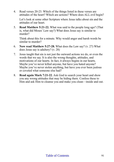4. Read verses 20-23. Which of the things listed in these verses are attitudes of the heart? Which are actions? Where does ALL evil begin?

Let's look at some other Scripture where Jesus talks about sin and the attitudes of our heart.

5. **Read Matthew 5:21-22.** What was said to the people long ago? (That is, what did Moses' Law say?) What does Jesus say is similar to murder?

Think about this for a minute. Why would anger and harsh words be similar to murder?

- 6. **Now read Matthew 5:27-28.** What does the Law say? (v. 27) What does Jesus say is adultery? (v. 28)
- 7. Jesus taught that sin is not just the outward actions we do, or even the words that we say. It is also the wrong thoughts, attitudes, and motivations of our hearts. In fact, it always begins in our hearts. Maybe you've never killed anyone, but have you hated anyone? Maybe you've never stolen anything, but have you ever been jealous or coveted what someone else had?
- 8. **Read again Mark 7:21-22**. Ask God to search your heart and show you any wrong attitudes that may be hiding there. Confess these to Him and ask Him to cleanse you and make you clean—inside and out.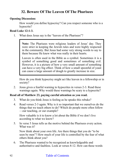# **32. Beware Of The Leaven Of The Pharisees**

### **Opening Discussion:**

How would you define hypocrisy? Can you respect someone who is a hypocrite?

### **Read Luke 12:1-3.**

1. What does Jesus say is the "leaven of the Pharisees"?

**Note:** The Pharisees were religious leaders of Jesus' day. They were strict in keeping the Jewish rules and were highly respected in the community. But Jesus had some very strong words to say to them because He knew what was really in their hearts.

Leaven is often used in the Bible as a symbol. Sometimes it is a symbol of something good and sometimes of something evil. However, it is a picture of how a very small amount of something can have a very big effect. Think of how a small spoonful of yeast can cause a large amount of dough to greatly increase in size.

How do you think hypocrisy might act like leaven in a fellowship or in society?

2. Jesus gives a fearful warning to hypocrites in verses 2-3. Read these warnings again. Why would these warnings be scary to a hypocrite?

### **Read all of Matthew 23, paying careful attention as you read.**

- 3. What do you think Jesus is feeling as he speaks this rebuke?
- 4. Read verses 2-3 again. Why is it so important that we ourselves do the things that we teach others to do? Which do people more often follow —our teaching, or our example?

How valuable is it to know a lot about the Bible if we don't live according to what we know?

5. In verse 5 Jesus tells us the motive behind the Pharisees every action. What was it?

Now think about your own life. Are there things that you do "to be seen by men"? How much of your life is controlled by the fear of what others think about you?

6. The Pharisees wanted to be recognized as knowledgeable and authoritative and faultless. Look at verses 8-12. How can these words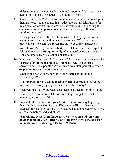of Jesus help us overcome a desire to look important? How can they help us be content to be equals in the family of God?

- 7. Read again verses 23-24. Think about yourself and your fellowship. Is there any way you are neglecting justice, mercy, and faithfulness for much smaller matters? In other words, is truly loving and caring for one another more important to you than legalistically following religious practices?
- 8. Read again verses 27-28. The Pharisees were hiding hypocrisy and wickedness behind a good outward appearance. What are some practical ways we can "guard against the yeast of the Pharisees"?
- 9. **See I John 1:5-10.** (This is the first letter of John—not the Gospel of John.) How can **"walking in the light"** and confessing our sins to God and others keep us clean inside and out?
- 10. Now return to Matthew 23. From verse 29 to the end Jesus rebukes the Pharisees for killing the prophets. Prophets were sent to bring correction to God's people and their word was often painful to receive — painful to pride and to reputation.

What would be the consequences of the Pharisees killing the prophets? (v. 35)

Is it important for us today to receive words of correction that come into our lives through godly brothers and sisters? Why?

11. Read verses 37-39. What was Jesus' deep heart desire for his people?

How do these last words of Jesus motivate you to get rid of all hypocrisy from your life?

12. Pray and ask God to search your heart and show you any hypocrisy that is hiding there. Confess it to Him and ask Him to cleanse you. Then ask for the Holy Spirit to fill you afresh and empower you to live a clean life before God and others.

**"Search me, O God, and know my heart; test me and know my anxious thoughts. See if there is any offensive way in me and lead me in the way everlasting." Psalm 139:23-24**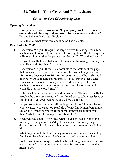## **33. Take Up Your Cross And Follow Jesus**

### *Count The Cost Of Following Jesus*

### **Opening Discussion:**

Have you ever heard anyone say, **"If you give your life to Jesus, everything will be easy and you won't have any more problems"?** Do you believe that's true? Explain.

Let's look at what Jesus said about being His disciple.

#### **Read Luke 14:25-35.**

1. Read verse 25 again. Imagine the large crowds following Jesus. Most teachers would rejoice to see crowds following them. But Jesus speaks a discouraging word to the people. (vs. 26 and 27) What does he say?

Do you think He knew that some of them were following Him only for what He could give them? Explain.

- 2. Read verse 26 again. If there is a footnote at the bottom of the page that goes with that verse, read that also. The original language says, **"If anyone does not hate his mother or father…"** Obviously, God does not want us to hate our parents. We know that in other places Jesus teaches us to honor our parents, as Moses taught. He also teaches us to love everyone. What do you think Jesus is saying here when He uses the word **"hate"?**
- 3. Notice each relationship mentioned in this verse. These are usually the people who are closest to us and most loved by us. Why must Jesus be first in our lives, even before those we love the most?
- 4. Do you sometimes find yourself holding back from following Jesus wholeheartedly because you're afraid of what family members might say or do? Or maybe you're afraid it might mean separation from them? What would Jesus say to you about this?
- 5. Read verse 27 again. The words **"carry a cross"** had a frightening meaning for people in Jesus' day. It meant someone was going to his death. Jesus tells his followers they must carry a cross as they follow him .

What do you think the first century followers of Jesus felt when they first heard these hard words? What do you feel as you read them?

6. Look back at verse 26 again. What is the last thing mentioned that we are to **"hate,"** or count less than our love for Jesus? What does this mean to you?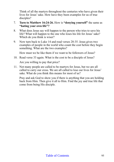Think of all the martyrs throughout the centuries who have given their lives for Jesus' sake. How have they been examples for us of true disciples?

- 7. **Turn to Matthew 16:24-26.** How is **"denying yourself"** the same as **"hating your own life"?**
- 8. What does Jesus say will happen to the person who tries to save his life? What will happen to the one who loses his life for Jesus' sake? Which do you think is wiser?
- 9. Now turn back to Luke 14 and read verses 28-35. Jesus gives two examples of people in the world who count the cost before they begin something. What are the two examples?

How must we be like them if we want to be followers of Jesus?

- 10. Read verse 33 again. What is the cost to be a disciple of Jesus? Are you willing to pay that price?
- 11. Not many people are called to be martyrs for Jesus, but we are all called to carry our cross. We are all called to lose our lives for Jesus' sake. What do you think this means for most of us?

Pray and ask God to show you if there is anything that you are holding back from Him. Then give it all to Him. Find the joy and true life that come from being His disciple.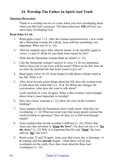# **34. Worship The Father In Spirit And Truth**

### **Opening Discussion:**

Think of a worship service or a time when you were worshiping alone when you felt God's presence. Tell about that time, **OR** tell how you most enjoy worshiping God.

### **Read John 4:1-26.**

- 1. Read again verses 7-12. After the woman questioned how a Jew could ask a Samaritan woman for a drink, Jesus told her something very important. What was it? (v. 10)
- 2. Then he explains more fully what he meant. Look carefully again at verses 13 and 14. What do you think Jesus meant by this?

What did the Samaritan woman think he meant? (v. 15)

- 3. Like the Samaritan woman's answer in verse 15, do we sometimes follow Jesus just so our lives will be easier? When we do this, how do we miss the spiritual life that Jesus wants to give us?
- 4. Read again verses 16-18. Jesus begins to talk about a deeper need in her life. What is it?
- 5. After Jesus reveals secret things about her life, does the woman want to talk about her sinful life? (vs.  $19 \& 20$ ) When she changes the conversation, what does she want to talk about?

Look carefully at verse 20 again. What is this woman's main thought about what is most important in worship?

- 6. How does Jesus' response (v. 21) show the error of the woman's thinking?
- 7. Jesus explains that the Samaritans don't really know what they are worshiping. (v. 22) What are some ways that many people around the world worship in ignorance? How do they try to find God through rituals?
- 8. Jesus explains that Jewish worship is different (v. 22). Notice that Jesus says that salvation is "**from the Jews"**; He does not say it is "**for the Jews."** (v. 22) Why is it important that He said "**from**" the Jews and not "**for**" the Jews?
- 9. Read verses 23 and 24 again. Jesus says that a new day is dawning—it **is** coming, and has **already** begun—when there will be true worshipers on the earth. How does Jesus describe these true worshipers? (v. 24)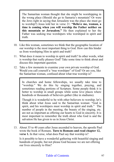The Samaritan woman thought that she might be worshipping in the wrong place (Should she go to Samaria's mountain? Or were the Jews right in saying that Jerusalem was the place she must go to worship?) Jesus told her in verse 21: **"Believe me, woman, a time is coming when you will worship the Father neither on this mountain or Jerusalem."** He then explained to her the Father was seeking true worshipers who worshiped in spirit and truth.

- 10. Like this woman, sometimes we think that the geographic location of our worship is the most important thing to God. How can this hinder us from worshiping Him in spirit and truth?
- 11. What does it mean to worship in spirit and truth? In other words, what is worship that really pleases God? Take some time to think about and discuss this important question.
- 12. Take a few moments to examine your own private worship of God. Would you call yourself a "true worshiper" of God? Or are you, like the Samaritan woman, confused about what true worship is?

In churches and home fellowships, we usually take time to "worship." We do this by singing together, praying, and sometimes reading portions of Scripture. Some people think it is better to worship in small groups while some love places where hundreds or thousands of believers gather (like in stadiums).

Though it is wonderful to be with other believers to worship, let's think about what Jesus said to the Samaritan woman: "God is spirit, and his worshipers must worship in spirit and truth." The number of people in the meeting, the beauty of the singing, etc. are not as important as offering our hearts to God in sincerity. It is most important to remember the truth about who God is and the salvation He has given to us in Jesus Christ.

13. About 35 to 40 years after Jesus ascended to heaven, the apostle Paul wrote the book of Romans. **Turn to Romans and read chapter 12, verse 1.** In that verse, what does Paul say that worship is?

Is it possible to have a wonderful gathering with beautiful singing and hundreds of people, but not please God because we are not offering our lives sincerely to Him?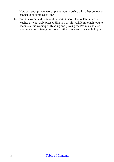How can your private worship, and your worship with other believers change to better please God?

14. End this study with a time of worship to God. Thank Him that He teaches us what truly pleases Him in worship. Ask Him to help you to become a true worshiper. Reading and praying the Psalms, and also reading and meditating on Jesus' death and resurrection can help you.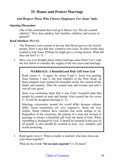# **35. Honor and Protect Marriage**

### *And Respect Those Who Choose Singleness For Jesus' Sake*

### **Opening Discussion:**

One of the commands that God gave Moses was "Do not commit adultery." How does adultery hurt families, children, and society in general?

#### **Read Matthew 19:1-12.**

- 1. The Pharisees were experts in the law that Moses gave to the Jewish people. Here it says that they wanted to test Jesus. In other words, they wanted to trap Jesus. Perhaps he might give a wrong answer. What did they ask him? (v. 3)
- 2. Have you ever thought about where marriage came from? Let's read the box below to consider the origins of the two sexes and marriage:

#### **MARRIAGE: A Beautiful and Holy Gift from God**

Read verses  $4 - 6$  again. In verses 4 and 5, Jesus was quoting from Genesis 1 and 2, the first chapters of the Holy Book. In those chapters God created His beautiful world. He created all the plants and animals. Then He created man and woman and said it was all very good.

Jesus was reminding them that it was God's beautiful plan that people be created as male and female. God created the two sexes (v. 4) and He designed marriage (v. 5).

Marriage ceremonies around the world differ because cultures differ. Some ceremonies are very expensive. Some are very simple. Some cultures have customs that seem strange to us. Regardless of the ceremony, the joining of a man and woman in marriage is always a beautiful gift from the hand of God. When something is designed by God, it should be honored in the eyes of all people. It also should be counted as holy, very valuable, and worth protecting.

3. Read again verse 6. When a couple is married, who does Jesus say joins them together?

What do the words **"let no man separate"** (v. 6) mean?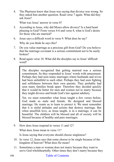4. The Pharisees knew that Jesus was saying that divorce was wrong. So they asked him another question. Read verse 7 again. What did they ask Jesus?

What was Jesus' answer in verse 8?

- 5. According to Jesus, why did Moses allow divorce? Is a hard heart pleasing to God? From verses 4-6 and verse 8, what is God's desire for those who are married?
- 6. Jesus says a difficult word in verse 9. What does he say?

Why do you think he says this?

- 7. Do you value marriage as a precious gift from God? Do you believe that the marriage covenant is a serious commitment not to be easily broken?
- 8. Read again verse 10. What did the disciples say to Jesus' difficult word?

The disciples recognized that getting married was a serious commitment. So they responded to Jesus' words with amazement. Perhaps they had seen many marriages where husbands and wives had been unfaithful to each other. Perhaps they had seen fighting and selfishness between their own parents. They probably had seen many families break apart. Therefore they decided quickly that it would be better for men and women not to marry because they might divorce and break God's law against adultery.

Yet, we must remember what Jesus taught a few verses before. God made us male and female. He designed and blessed marriage. He wants us to learn to protect it. We must remember that it is sinful attitudes and actions that destroy marriage. But when unselfish love, as Jesus taught, is in a marriage, it can be beautiful. The children will be blessed and all of society will be blessed because of healthy and pure marriages.

9. How does Jesus respond in verses 11 and 12?

What does Jesus mean in verse 11?

Is Jesus saying that everyone should choose singleness?

- 10. In verse 12, Jesus says that some choose to be single because of the kingdom of heaven? What does He mean?
- 11. Sometimes a man or woman does not marry because they want to serve God wholeheartedly. Other times they don't marry because they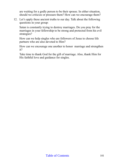are waiting for a godly person to be their spouse. In either situation, should we criticize or pressure them? How can we encourage them?

12. Let's apply these ancient truths to our day. Talk about the following questions in your group:

Satan is constantly trying to destroy marriages. Do you pray for the marriages in your fellowship to be strong and protected from his evil strategies?

How can we help singles who are followers of Jesus to choose life partners who are also devoted to Him?

How can we encourage one another to honor marriage and strengthen it?

Take time to thank God for the gift of marriage. Also, thank Him for His faithful love and guidance for singles.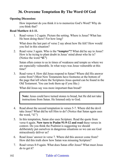# **36. Overcome Temptation By The Word Of God**

### **Opening Discussion:**

How important do you think it is to memorize God's Word? Why do you think that?

### **Read Matthew 4:1-11.**

1. Read verses 1-2 again. Picture the setting. Where is Jesus? What has He been doing there? For how long?

What does the last part of verse 2 say about how He felt? How would you feel in this situation?

2. Read verse 3 again. Who is the **"tempter"?** What did he say to Jesus? How is he trying to plant doubt in Jesus' mind about who he is? (Notice the word **"if."**)

Satan often comes to us in times of weakness and tempts us where we are especially vulnerable. In what ways was Jesus vulnerable at this time?

3. Read verse 4. How did Jesus respond to Satan? Where did His answer come from? (Most New Testaments have footnotes at the bottom of the page that tell where the Scriptures Jesus quoted can be found in the Old Testament. You can look them up if you like.)

What did Jesus say was more important than bread?

**Note:** Jesus could have turned stones to bread, but He did not take instructions from Satan. He listened only to God.

- 4. Read about the second temptation in verses 5-7. Where did the devil take Jesus? What did he tell Him to do? (Notice that Satan again uses the word, "if.")
- 5. In this temptation, Satan also uses Scripture. Read the quote from verse 6 again. **Now turn to Psalm 91:9-12 and read** these verses in context. Do you think the Psalmist is suggesting we should deliberately put ourselves in dangerous situations so we can see God miraculously deliver us?
- 6. Read Jesus' answer in verse 7. Where did this answer come from? How did this truth show how Satan was misusing Scripture?
- 7. Read verses 8-9 again. What does Satan offer Jesus? What must Jesus do to get it?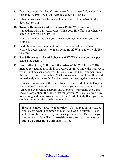- 8. Does Jesus consider Satan's offer even for a moment? How does He respond? (v. 10) How is this response especially strong?
- 9. When it was clear that Jesus would not listen to him, what did the devil do?  $(v. 11)$
- 10. **Turn to Hebrews 4 and read verses 15-16.** Why can Jesus sympathize with our weaknesses? What does He offer to us when we come to Him for help? (v. 16)

How do these verses give you great encouragement when you are tempted?

- 11. In all three of Jesus' temptations that are recorded in Matthew 4, where do Jesus' answers to Satan come from? What authority did He rely on?
- 12. **Read Hebrews 4:12 and Ephesians 6:17.** What is our best weapon against the enemy?
- 13. Jesus called Satan, **"a liar and the father of lies."** (John 8:44) His method for getting us to sin is to deceive us. If we know the truth well, we will not be easily deceived. In Jesus' day, the Old Testament was the only Scripture people had. Yet Jesus knew it so well that He could immediately use the truth like sharp sword thrusts against the enemy.

How well do you know the truths found in the Word of God? Do you read and meditate on the Word daily? Are you memorizing important verses and even whole chapters and/or books—especially those that speak directly about the things that tempt you? Will you commit now to studying and memorizing more of the Word of God? If so, you, too, can learn to stand firm against temptation.

**Here is a good verse to memorize**: "No temptation has seized you except what is common to man. And God is faithful; He will not let you be tempted beyond what you can bear. But when you are tempted, **He will also provide a way out so that you can stand up under it."** I Corinthians 10:13.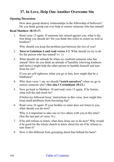# **37. In Love, Help One Another Overcome Sin**

#### **Opening Discussion:**

How does gossip destroy relationships in the fellowship of believers? Do you think gossip can ever help to restore someone who has sinned?

#### **Read Matthew 18:15-17.**

1. Read verse 15 again. If someone has sinned against you, what is the first thing you should do? Do you think this refers to sisters as well as brothers?

Why should you keep the problem just between the two of you?

- 2. **Turn to Galatians 6 and read verses 1-2.** What should we try to do for the person who has sinned? (v. 1)
- 3. What should our attitude be when we confront someone who has sinned? How do you think an attitude of humility (showing kindness and mercy) might help the other person to humble himself and turn from his sin?

If you are self righteous when you go to him, how might that be a hindrance?

- 4. Why does verse 1 say we should **"watch ourselves"** when we go to restore someone else? (**See also I Corinthians 10:12.**)
- 5. Now go back to Matthew 18 and read verse 15 again. If he listens, what will the end result be?

If believers followed Jesus' instructions in this verse, how might this keep small problems from becoming big?

6. Read verse 16 again. If your brother or sister does not listen to you, what should you do next?

Why is it important to take one or two others with you at this time? (See the last part of verse 16.)

- 7. If he still refuses to listen, what does Jesus say to do next? Why would it be good for the whole church to know about his sin if he refuses to turn from it?
- 8. How is this different from gossiping about him behind his back?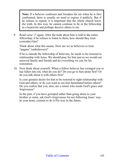**Note:** If a believer confesses and forsakes his sin when he is first confronted, there is usually no need to expose it publicly. But if he refuses to repent, it is important that the whole church know the truth. In this way, he cannot continue to be in the fellowship as a hypocrite and perhaps deceive others to sin.

9. Read verse 17 again. After the truth about him is told to the entire fellowship, if he refuses to listen to them, how should they treat (consider) him?

Think about what this means. How are we as believers to treat "pagans" (unbelievers)?

If he is outside the fellowship of believers, he needs to be restored to relationship with Jesus. We should pray for him just as we would our unsaved family and friends and do everything we can for his restoration.

10. Now think about yourself. When a fellow believer has wronged you or has fallen into sin, what do you do? Do you go to him alone first? Or do you talk about it with others first?

Is your greatest desire for him to be restored to right relationship with God and others, or do you want to see him humiliated before others? Do you realize that you, also, are a sinner who needs God's grace and forgiveness?

In the past, if you have gossiped rather than going alone to your brother or sister, ask God's forgiveness for not following Jesus' way. In your heart, commit to do it His way in the future.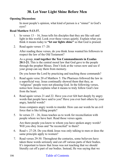# **38. Let Your Light Shine Before Men**

### **Opening Discussion:**

In most people's opinion, what kind of person is a "sinner" in God's eyes?

### **Read Matthew 5:13-37.**

- 1. In verses 13 16, Jesus tells his disciples that they are like salt and light in this world. Look over these verses quietly. Explain what you think it means today to **"let our lights shine"** so that God is praised.
- 2. Read again verses 17 -20.

After reading these verses, do you think Jesus wanted his followers to respect the law of the Old Testament?

As a group, **read together the Ten Commandments in Exodus 20:1-21.** This is the central moral law that God gave to the people through the prophet Moses. Don't look at the verses now and see if your group can say them from memory.

Do you honor the Lord by practicing and teaching these commands?

- 3. Read again verse 20 of Matthew 5. The Pharisees followed the law in a superficial way. Jesus continually showed them that they, as "religious" people were not pleasing God. In the following verses, notice how Jesus explains what it means to truly follow God's law from the heart.
- 4. Read again verses 21 and 22. Have you ever felt hurt deeply by angry words that people have said to you? Have you ever hurt others by your angry, hateful words?

Jesus compares angry words to murder. How can our words be an evil force that is like killing people?

5. In verses  $23 - 26$ , Jesus teaches us to work for reconciliation with people whom we have hurt. Read those verses again.

Are there people you know to whom you have spoken angry words? Will you obey Jesus and "be reconciled" to them?

- 6. Read v. 27-28. Do you think Jesus was only talking to men or does the same principle apply to women?
- 7. Read verses 29-30. Throughout the centuries, some believers have taken these words seriously and cut off various parts of their bodies. It's important to know that Jesus was not teaching that we should literally cut off a part of our bodies. Instead, He was saying that we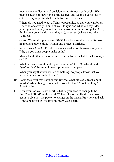must make a radical moral decision not to follow a path of sin. We must be aware of our strong sinful desires, and we must consciously cut off every opportunity to sin before sin defeats us.

Where do you need to cut off sin's opportunity, so that you can follow God wholeheartedly? Think of your tongue and what you say. Also, your eyes and what you look at on television or on the computer. Also, think about your hands (what they do), your feet (where they take you), etc.

**(Note:** We are skipping verses 31-32 here because divorce is discussed in another study entitled "Honor and Protect Marriage.")

8. Read verses 33 – 37. People have made oaths for thousands of years. Why do you think people make oaths?

Moses taught that we should fulfill our oaths, but what does Jesus say? (v. 34)

9. What did Jesus say should replace our oaths? (v. 37). Why should **"yes"** or **"no"** be enough in our promises to people?

When you say that you will do something, do people know that you are a person who can be trusted?

- 10. Look back over this passage and review. What did Jesus teach about murder? About being reconciled to your brother? About adultery? About oaths?
- 11. Now examine your own heart. What do you need to change to be **"salt"** and **"light"** in this world? Thank Jesus that He died and rose again to give you the power to change on the inside. Pray now and ask Him to help you to live for Him from your heart.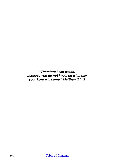*"Therefore keep watch, because you do not know on what day your Lord will come." Matthew 24:42*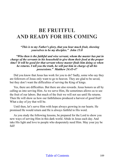# **BE FRUITFUL AND READY FOR HIS COMING**

#### *"This is to my Father's glory, that you bear much fruit, showing yourselves to be my disciples." John 15:8*

#### *"Who then is the faithful and wise servant, whom the master has put in charge of the servants in his household to give them their food at the proper time? It will be good for that servant whose master finds him doing so when he returns. I tell you the truth, he will put him in charge of all his possessions." Matthew 24:45-47*

Did you know that Jesus has work for you to do? Sadly, some who say they are followers of Jesus only want to go to heaven. They are glad to be saved, but they don't want the difficulties of serving the King of kings.

Yes, there are difficulties. But there are also rewards. Jesus honors us all by calling us into serving Him. As we serve Him, He sometimes allows us to see the fruit of our labors. But much of the fruit we will not see until He returns. Then He will show us how our faithfulness produced a harvest of good fruit! What a day of joy that will be.

Until then, let's serve Him with hope always growing in our hearts. He promised He would return and He is always faithful to His word.

As you study the following lessons, be prepared for the Lord to show you new ways of serving Him in this dark world. Abide in Jesus each day. And take His light and love to people who desperately need Him. May your joy be full!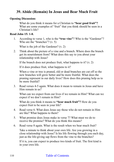# **39. Abide (Remain) In Jesus and Bear Much Fruit**

#### **Opening Discussion:**

What do you think it means for a Christian to **"bear good fruit"?** What are some examples of "fruit" that you think should be seen in a Christian's life?

#### **Read John 15: 1-8.**

1. According to verse 1, who is the **"true vine"**? Who is the "Gardener"? Who are the "branches"? (v. 5)

What is the job of the Gardener? (v. 2)

2. Think about the picture of a vine and a branch. Where does the branch get its nourishment from? What does this say to you about your relationship with Jesus?

If the branch does not produce fruit, what happens to it? (v. 2)

If it does produce fruit, what happens to it?

When a vine or tree is pruned, old or dead branches are cut off so the new branches will grow better and be more fruitful. What does the pruning represent in our daily lives? How does this pruning help us to be more fruitful?

3. Read verses 4-5 again. What does it mean to remain in Jesus and have Him remain in us?

What can we expect from our lives if we remain in Him? What can we expect if we don't remain in Him?

What do you think it means to **"bear much fruit"?** How do you expect fruit to be seen in your life?

- 4. Read verse 6. What does Jesus say those who do not remain in Him are like? What happens to them?
- 5. What promise does Jesus make in verse 7? What must we do to receive the promise? What do you think this means?
- 6. Read verse 8 again. What is the result when we bear much fruit?

Take a minute to think about your own life. Are you growing in a close relationship with Jesus? Is his life flowing through you each day, just as the life-giving sap flows from the vine to the branches?

If it is, you can expect to produce two kinds of fruit. The first kind is in your own life.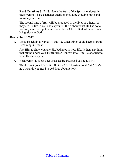**Read Galatians 5:22-23.** Name the fruit of the Spirit mentioned in these verses. These character qualities should be growing more and more in your life.

The second kind of fruit will be produced in the lives of others. As they see his life in you and as you tell them about what He has done for you, some will put their trust in Jesus Christ. Both of these fruits bring glory to God.

#### **Read John 15:9-17.**

7. Look especially at verses 10 and 12. What things could keep us from remaining in Jesus?

Ask Him to show you any disobedience in your life. Is there anything that might hinder your fruitfulness? Confess it to Him. Be obedient to what He shows you.

8. Read verse 11. What does Jesus desire that our lives be full of?

Think about your life. Is it full of joy? Is it bearing good fruit? If it's not, what do you need to do? Pray about it now.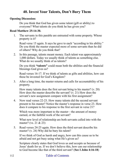# **40. Invest Your Talents, Don't Bury Them**

#### **Opening Discussion:**

Do you think that God has given some talent (gift or ability) to everyone? What talents do you think he has given you?

#### **Read Matthew 25:14-30.**

1. The servants in this parable are entrusted with some property. Whose property is it?

Read verse 15 again. It says he gave to each "according to his ability." Do you think the master expected more of some servants than he did of others? Why do you think that?

2. In this passage, talents meant money. Each talent was approximately 1,000 dollars. Today we usually think of talents as something else. What do we usually think of as talents?

Do you think **"talents"** could mean both the abilities and the financial blessings God gives us?

Read verses 16-17. If we think of talents as gifts and abilities, how can these be invested for God's Kingdom?

3. After a long time, the master returns and calls for accountability of his property.

How many talents does the first servant bring to his master? (v. 20) How does the master describe the servant? (v. 21) How does the servant's new assignment compare with his first assignment?

4. Now read verses 22-23. How many talents did the second servant present to his master? Notice the master's response in verse 23. How does it compare to his response to the first servant in verse 21?

Which was more important to the master—the amount of money earned, or the faithful work of the servant?

What new level of relationship are both servants called into with the master? (vs. 21 & 23)

5. Read verses 24-25 again. How does the third servant describe his master? (v. 24) Why did he bury his talent?

If we think of God as harsh and angry, how can this cause us to be afraid and not get busy using what He's given us?

Scripture clearly states that God loves us and accepts us because of Jesus' death for us. If we don't believe this, how can our relationship to God become like that of the third servant? (**See I John 4:16-18**)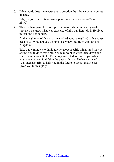6. What words does the master use to describe the third servant in verses 26 and 30?

Why do you think this servant's punishment was so severe? (vs. 28-30)

7. This is a hard parable to accept. The master shows no mercy to the servant who knew what was expected of him but didn't do it. He lived in fear and not in faith.

At the beginning of this study, we talked about the gifts God has given each of us. What are you doing to use your God-given gifts for His Kingdom?

Take a few minutes to think quietly about specific things God may be asking you to do at this time. You may want to write them down and keep them in your Bible. Then pray. Ask God to forgive you where you have not been faithful in the past with what He has entrusted to you. Then ask Him to help you in the future to use all that He has given you for his glory.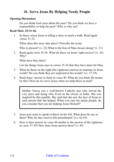# **41. Serve Jesus By Helping Needy People**

#### **Opening Discussion:**

Do you think God cares about the poor? Do you think we have a responsibility to help the poor? Why or why not?

#### **Read Matt. 25:31-46.**

1. In these verses Jesus is telling a story to teach a truth. Read again verses 31-32.

When does this story take place? Describe the scene.

Who is present? (v. 32) What is the Son of Man (Jesus) doing? (v. 31)

2. Read again verse 34-36. What do those on Jesus' right receive? (v. 34) Why?

What have they done?

List the things Jesus says in verses 35-36 that they have done for Him.

- 3. What do those on the right (the righteous) answer in response to Jesus words? Do you think they are surprised at his words? (vs. 37-39)
- 4. Read Jesus' answer to them in verse 40. What do you think He means by this? How do we serve Jesus when we help those in need?

Mother Teresa was a well-known Catholic nun who served the very poor and dying who lived on the streets in India. She was inspired by this parable. She said that she saw the face of Jesus in each person that she helped. When you care for needy people, do you consider that you are helping Jesus Himself?

- 5. Jesus now turns to speak to those on his left. What does He say to them? Why do they receive this punishment? (vs. 42-43)
- 6. How is their answer in verse 44 similar to the answer of the righteous in verse 37-39? How does Jesus answer them? (v. 45)

### Table of Contents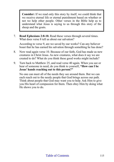**Consider:** If we read only this story by itself, we could think that we receive eternal life or eternal punishment based on whether or not we help other people. Other verses in the Bible help us to understand what Jesus is saying to us through this story of the sheep and the goats.

7. **Read Ephesians 2:8-10.** Read these verses through several times. What does verse 8 tell us about our salvation?

According to verse 9, are we saved by our works? Can any believer boast that he has earned his salvation through something he has done?

- 8. Now read again verse 10. Because of our faith, God has made us new creatures in Christ Jesus. As new creatures, what does it say we are created to do? What do you think these good works might include?
- 9. Turn back to Matthew 25, and read verse 40 again. When you see or hear of someone in need, do you think to yourself, **"How can I be Jesus' hands reaching out to this person?"**

No one can meet all of the needs they see around them. But we can each reach out to the needy people that God brings across our path. Think about people that God may want you to help. Ask Him to give you His heart of compassion for them. Then obey Him by doing what He shows you to do.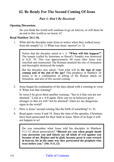## **42. Be Ready For The Second Coming Of Jesus**

### *Part 1: Don't Be Deceived*

#### **Opening Discussion:**

Do you think the world will continue to go on forever, or will there be an end to this world as we know it?

#### **Read Matthew 24:1-36.**

1. What did the disciples want Jesus to notice when they walked away from the temple?  $(v, 1)$  What was Jesus' answer?  $(v, 2)$ 

Notice that the disciples asked in v. 3: **"When will this happen?"** The temple (called by historians as Herod's Temple) was destroyed in A.D. 70. This was approximately 40 years after Jesus was crucified and resurrected. The Romans attacked the city of Jerusalem and thoroughly destroyed the temple.

But the disciples also asked, "And what will be **the sign of your coming and of the end of the age?** This prophecy in Matthew 24 seems to be a combination of telling of the Roman attack on Jerusalem, and also of His second coming.

2. Jesus began his explanation of the days ahead with a warning in verse 4. What was that warning?

In verse 6 he gives them another warning: "See to it that you are not alarmed." Look at v. 6-8 again. How can we as believers grow stronger so that we will "not be alarmed" when we see dangerous signs in the world?

- 3. How is Jesus' second coming like the birth of something? (v. 8)
- 4. Read again verses 9 and 10. Since the time of the apostles, Christians have been persecuted for their faith in Jesus. Most of us hope it will not happen to us!

Do you remember what Jesus told his disciples in Matthew 5:11-12 about persecution? **"Blessed are you when people insult you, persecute you and falsely say all kinds of evil against you because of me. Rejoice and be glad, because great is your reward in heaven, for in the same way they persecuted the prophets who were before you." (Mt. 5:11,12)**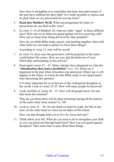How does it strengthen us to remember that holy men and women of the past have suffered for their faith? Is it really possible to rejoice and be glad when we are persecuted for serving Jesus?

- 5. **Read also Matthew 10:28.** What encouragement for times of persecution do you find in this verse?
- 6. In verse 11-14 of Matthew 24, what are other "signs" of those difficult days? How can we as believers guard against our love growing cold? How can we keep from being deceived by false prophets?

How do you think Bible study, prayer, and meeting together often with other believers can help to protect us from these things?

According to verse 13, who will be saved?

- 7. In verse 14, Jesus says the good news will be preached in the entire world before He comes. How are you, and the believers of your fellowship, participating in this activity?
- 8. Read again verses  $15 25$ . Many scholars have disagreed on what the **"abomination that causes desolation"** is (v. 15). Some say it happened in the past when Jerusalem was destroyed. Others say it will happen in the future. It is best for this Bible study to not spend much time discussing this question.

It is more important for us to beware of the widespread deception in the world. Look at verses 23-25. How will many people be deceived?

9. Look carefully at verses  $26 - 31$ . How will all people know for sure that Jesus has returned?

Why do you think there will be deep mourning among all the nations of the earth when Jesus returns? (v. 30)

10. Look at verse  $32 - 36$ . On one hand we must be ready for him at any time, on the other hand we must not set dates of His return.

How can that thought help you to live for Jesus each day?

11. Think about your life. What do you need to do to strengthen your faith so you can persevere through hard times? How can you guard against deception? Take some time to pray about these things.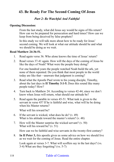## **43. Be Ready For The Second Coming Of Jesus**

### *Part 2: Be Watchful And Faithful*

#### **Opening Discussion:**

From the last study, what did Jesus say would be signs of His return? How can we be prepared for persecution and hard times? How can we keep from being deceived by false prophets?

In this study we will talk more about how to be ready for Jesus' second coming. We will look at what our attitude should be and what we should be doing as we wait.

#### **Read Matthew 24:36-51.**

- 1. Read again verse 36. Who alone knows the time of Jesus' return?
- 2. Read verses 37-41 again. How will the days of the coming of Jesus be like the days of Noah? What were the people busy doing?

For one hundred years the people watched Noah build the ark, yet none of them repented. Do you think that most people in the world today are like that—unaware that judgment is coming?

- 3. Read what the Apostle Paul wrote to his young disciple, Timothy, about the last days in **II Timothy 3:1-5.** Does this sound like many people today? How?
- 4. Turn back to Matthew 24. According to verses 42-44, since we don't know when Jesus will return, what should our attitude be?
- 5. Read again the parable in verses 45-51. What task is given to the servant in verse 45? If he is faithful and wise, what will he be doing when his Master returns?

What will his reward be?

- 6. If the servant is wicked, what does he do? (v. 49) What is his attitude toward the master's return? (v. 48)
- 7. How will the Master surprise the wicked servant? (v. 50) What will his reward be? (v. 51)

How can we be faithful and wise servants in the twenty-first century?

8. **In II Peter 3,** this apostle gives us some advice on how we should live as we wait for the coming of Jesus. Read the entire chapter.

Look again at verses 3-7. What will scoffers say in the last days? (vs. 3-4) What are they forgetting? (vs. 5-7)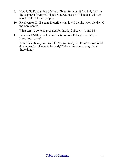- 9. How is God's counting of time different from ours? (vs. 8-9) Look at the last part of verse 9. What is God waiting for? What does this say about his love for all people?
- 10. Read verses 10-13 again. Describe what it will be like when the day of the Lord comes.

What can we do to be prepared for this day? (See vs. 11 and 14.)

11. In verses 17-18, what final instructions does Peter give to help us know how to live?

Now think about your own life. Are you ready for Jesus' return? What do you need to change to be ready? Take some time to pray about these things.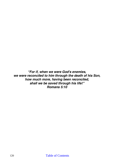*"For if, when we were God's enemies, we were reconciled to him through the death of his Son, how much more, having been reconciled, shall we be saved through his life!" Romans 5:10*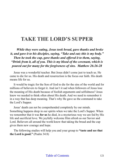# **TAKE THE LORD'S SUPPER**

*While they were eating, Jesus took bread, gave thanks and broke it, and gave it to his disciples, saying, "Take and eat; this is my body." Then he took the cup, gave thanks and offered it to them, saying, "Drink from it, all of you. This is my blood of the covenant, which is poured out for many for the forgiveness of sins. Matthew 26:26-28*

Jesus was a wonderful teacher. But Jesus didn't come just to teach us. He came to die for us. His death and resurrection is the focus our faith. His death means life for us.

It would be tragic for the Son of God to die for the sins of the world and for millions of believers to forget it. And isn't it sad when followers of Jesus lose the meaning of His death because of foolish arguments and selfishness? Jesus knew we needed to think often about His death. And we need to remember it in a way that has deep meaning. That's why He gave us the command to take the Lord's Supper.

Jesus' death can not be comprehended completely by our minds. Something happens deep in our spirits when we take the Lord's Supper. When we remember that it was **for us** he died, in a mysterious way we are fed by His life and sacrificial love. We joyfully welcome Him afresh as our Savior and Lord. Believers all around the world know that taking the bread and the cup gives them new courage and hope.

The following studies will help you and your group to **"taste and see that the Lord is good."** (Psalm 34:8)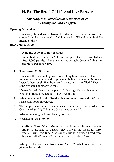## **44. Eat The Bread Of Life And Live Forever**

### *This study is an introduction to the next study on taking the Lord's Supper.*

#### **Opening Discussion:**

Jesus said, "Man does not live on bread alone, but on every word that comes from the mouth of God." (Matthew 4:4) What do you think He meant by this?

#### **Read John 6:25-70.**

#### **Note the context of this passage:**

In the first part of chapter 6, Jesus multiplied the bread and fish to feed 5,000 people. After this amazing miracle, Jesus left, but the people searched for him.

1. Read verses 25-29 again.

Jesus tells the people they were not seeking him because of the miraculous sign that would help them to believe he was the Messiah. Instead, they sought Him because "they ate and were filled." They simply wanted another free meal!

If we only seek Jesus for the physical blessings He can give to us, what important thing about Him will we miss?

- 2. What do you think is the **"food which endures to eternal life"** that Jesus talks about in verse 27?
- 3. The people then wanted to know what they needed to do in order to do God's work (v. 28). What was Jesus' answer? (v. 29)

Why is believing in Jesus pleasing to God?

4. Read again verses 30-40.

**Culture Note:** When Moses led the Israelites from slavery in Egypt to the land of Canaan, they were in the desert for forty years. During this time, God supernaturally provided bread from heaven (called "manna") for them to eat. (Exodus 16:4)

Who gives the true bread from heaven? (v. 32). What does this bread give to the world?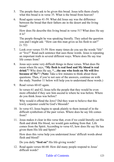- 5. The people then ask to be given this bread. Jesus tells them clearly what this bread is in verse 35. What is the bread from heaven?
- 6. Read again verses 41-59. What did Jesus say was the difference between the bread that their fathers ate in the desert and the living bread?

How does He describe this living bread in verse 51? What does He say it is?

The people thought he was speaking literally. They asked the question you and I might ask: "How can this man gives us his flesh to eat?"  $(x, 52)$ 

- 7. Look over verses 53-59. How many times do you see the words "life" or "live?" Read each sentence that uses those words. Jesus is repeating an important truth in several different ways. Where does He say true life comes from?
- 8. Jesus says some very difficult things in these verses. What does He mean when He says, **"My flesh is real food and My blood is real drink"**? Why does He say, **"…the one who feeds on Me will live because of Me"**? (**Note:** Take a few minutes to think about these questions. Then, if you're not sure of the answers, continue on with the study. Number 11 below will help you to understand these words.)
- 9. Read verses 60-65 again.

In verses 61 and 62, Jesus tells the people that they would be even more offended if they saw him ascend to where he was before. Where do you think Jesus was before?

Why would it offend the Jews? Did they want to believe that this lowly carpenter could be God's Messiah?

- 10. In verse 63, Jesus begins to speak plainly to them instead of in the difficult symbolism of the past verses. Where does he say life comes from?
- 11. Jesus makes it clear in this verse that, even if we could literally eat His flesh and drink His blood, we would gain nothing from that. Life comes from the Spirit. According to verse 63, how does He say He has given them His life and Spirit?

How does this verse help you understand Jesus' difficult words about flesh and blood?

Do you daily **"feed on"** His life-giving words?

12. Read again verses 66-68. How did many people respond to Jesus' difficult words?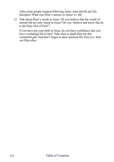After some people stopped following Jesus, what did He ask His disciples? What was Peter's answer to Jesus? (v. 68)

13. Talk about Peter's words to Jesus. Do you believe that the words of eternal life are only found in Jesus? Do you "believe and know that he is the Holy One of God"?

If you have put your faith in Jesus, do you have confidence that you have everlasting life in him? Take time to thank Him for this wonderful gift. And don't forget to draw spiritual life from (i.e. feed on) Him often.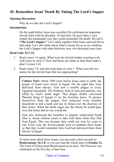# **45. Remember Jesus' Death By Taking The Lord's Supper**

#### **Opening Discussion:**

Why do we take the Lord's Supper?

#### **Introduction:**

On the night before Jesus was crucified, He celebrated an important Jewish feast with his disciples. At that time, He gave them a very simple but meaningful way they could remember His death. We call it **"The Lord's Supper."** Let's study together what Jesus said and did on that night. Let's also think about what it means for us as we celebrate the Lord's Supper with other believers now, two thousand years later.

#### **Read Luke 22:1-23.**

- 1. Read verses 1-6 again. What were the Jewish leaders wanting to do with Jesus in verse 2? How did Satan use Judas to help them make a plan? (verses 3-6)
- 2. Read verses 7-8, and also look back at verse 1. What were the two names for the Jewish feast that was approaching?

**Culture Note:** About 1500 years before Jesus came to earth, the people of Israel were slaves in Egypt. On the night they were delivered from slavery, God sent a terrible plague to every Egyptian household. The firstborn, both of men and animals, was killed by God's death angel. This plague finally convinced Pharaoh (king of Egypt) to let the Israelites leave. To protect themselves from the plague, God instructed every Israelite household to kill a lamb and put its blood over the doorway of their home. When the death angel saw the blood, he would pass over that home and no one would die.

God also instructed the Israelites to prepare unleavened bread (that is, bread without yeast) to take with them when they fled from Egypt. This was because they could not wait for yeast to rise. Every year, the Jewish people were to celebrate these feasts so that they would remember how God had delivered them from slavery in Egypt.

To learn more about these feasts, you can read a short account in **Deuteronomy 16:1-8**, or you can read the whole story in **Exodus 12.** The Feast of Unleavened Bread lasted seven days. The Passover was celebrated on the first day of that feast.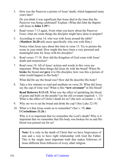3. How was the Passover a picture of Jesus' death, which happened many years later?

Do you think it was significant that Jesus died at the time that the Passover was being celebrated? Explain. (What did John the Baptist call Jesus in **John 1:29**?)

- 4. Read verses 7-13 again. From what you know about the Passover Feast, what are some things the disciples might have done to prepare?
- 5. According to verse 14, who was with Jesus around the table? (**Matthew 26:20** tells more specifically who was with Him.)

Notice what Jesus says about this time in verse 15. Try to picture the scene in your mind. How might this have been a very personal and meaningful time for Jesus with his disciples?

- 6. Read verses 17-18. How did the Kingdom of God come with Jesus' death and resurrection?
- 7. Read verse 19. All of Jesus' actions and words in this verse are important. What three things did Jesus do with the bread? When He **broke** the bread and **gave** it to His disciples, how was this a picture of what would happen to His body?

What did He say the bread was? How did He describe His body?

8. Take a few minutes to read and meditate on verse 20. What did Jesus say the cup of wine was? What is this **"new covenant"** in His blood?

**Read Hebrews 9:13-15.** What was the effect of sprinkling the blood of goats and bulls on the people? (as the old covenant required: v. 13) What is the effect of Christ's death for us? (the new covenant: v. 14)

- 9. Why are we to eat the bread and drink the cup? (See Luke 22:19)
- 10. What is it that Jesus wants us to remember? (See v. 19; **also I Corinthians 11:26**.)

Why is it so important that we remember the Lord's death? Why is it important that we remember that His body was broken for us and His blood was poured out for us?

**Note:** It is only in the death of Christ that we have forgiveness of sins and a way to have right relationship with God the Father. This is the single most important truth that makes followers of Jesus different from followers of every other religion.

### Table of Contents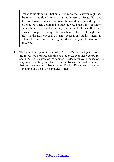What Jesus started in that small room on the Passover night has become a tradition known by all followers of Jesus. For two thousand years, believers all over the world have joined together often to obey His command to take the bread and wine (or juice). As each one eats and drinks, they review the truth that all of their sins are forgiven through the sacrifice of Jesus. Through their trust in the new covenant, Satan's accusations against them are silenced. Their faith is strengthened and the joy of salvation is renewed.

11. This would be a good time to take The Lord's Supper together as a group. As you prepare, take time to read back over these Scriptures again. As Jesus instructed, remember His death for you because of His very great love for you. Thank Him for His sacrifice and the new life that you have in Christ. **Never** allow The Lord's Supper to become something you do as a meaningless ritual!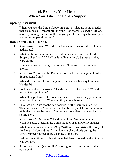# **46. Examine Your Heart When You Take The Lord's Supper**

#### **Opening Discussion:**

When you take the Lord's Supper in a group, what are some practices that are especially meaningful to you? (For example: serving it to one another, praying for one another as you partake, having a time of quiet prayer before partaking, etc.)

#### **Read I Corinthians 11:17-34.**

- 1. Read verse 18 again. What did Paul say about the Corinthian church gatherings?
- 2. What did he say was not good about the way they took the Lord's Supper? (Read vs. 20-22.) Was it really the Lord's Supper that they were eating?

How were they not being an example of love and caring for one another?

3. Read verse 23. Where did Paul say this practice of taking the Lord's Supper came from?

When did the Lord Jesus first give His disciples this way to remember His death?

4. Look again at verses 24-25. What did Jesus call the bread? What did he call the cup of wine?

When they partook of the bread and wine, what were they proclaiming according to verse 26? Who were they remembering?

5. In verses 17-22 we see the bad behavior of the Corinthian church. Then in verses 23-26 we notice the humble ways of Jesus on the same night that He was betrayed. This helps us to understand what Paul is saying next.

Read verses 27-34 again. What do you think Paul was talking about when he spoke of taking the Lord's Supper in an unworthy manner?

6. What does he mean in verse 29 by **"without recognizing the body of the Lord"?** How did the Corinthian church's attitude during the Lord's Supper not recognize the body of the Lord?

Did they exhibit the humble attitude that Jesus showed on the night he was betrayed?

7. According to Paul (see vs. 28-31), is it good to examine and judge ourselves?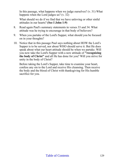In this passage, what happens when we judge ourselves? (v. 31) What happens when the Lord judges us? (v. 32)

What should we do if we find that we have unloving or other sinful attitudes in our hearts? **(See I John 1:9)**

- 8. Read again Paul's summary statements in verses 33 and 34. What attitude was he trying to encourage in that body of believers?
- 9. When you partake of the Lord's Supper, what should you be focused on in your thoughts?
- 10. Notice that in this passage Paul says nothing about HOW the Lord's Supper is to be served, nor about WHO should serve it. But He does speak about what our heart attitude should be when we partake. Will you now take the Lord's Supper with a new attitude of **"recognizing the body of Christ"** and all He has done for you? Will you strive for unity in the body of Christ?

Before taking the Lord's Supper, take time to examine your heart, confess any sin to the Lord and receive His cleansing. Then receive the body and the blood of Christ with thanksgiving for His humble sacrifice for you.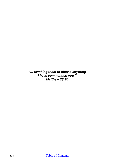*"… teaching them to obey everything I have commanded you." Matthew 28:20*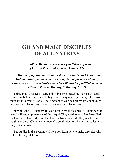# **GO AND MAKE DISCIPLES OF ALL NATIONS**

### *Follow Me, and I will make you fishers of men. (Jesus to Peter and Andrew, Mark 1:17)*

### *You then, my son, be strong in the grace that is in Christ Jesus. And the things you have heard me say in the presence of many witnesses entrust to reliable men who will also be qualified to teach others. (Paul to Timothy, 2 Timothy 2:1, 2)*

Think about this: Jesus started his ministry by teaching 12 men to learn from Him, believe in Him and obey Him. Today in every country of the world there are followers of Jesus. The kingdom of God has grown for 2,000 years because disciples of Jesus have made more disciples of Jesus!

Now it is the 21st century. It is our turn to make disciples. Millions need to hear the life-giving message of the gospel. They need to hear that Jesus died for the sins of the world, and that He rose from the dead! They need to be taught that Jesus Christ is our hope of eternal salvation. They need to learn to obey His commands.

The studies in this section will help you learn how to make disciples who follow the way of Jesus.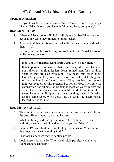# **47. Go And Make Disciples Of All Nations**

#### **Opening Discussion:**

Do you think Jesus' disciples were "super" men, or were they people like us? What fears do you have in following Jesus completely?

#### **Read Mark 1:14-20.**

- 1. Where did Jesus go to call his first disciples? (v. 16) What was their occupation? Were they trained religious leaders?
- 2. After he told them to follow him, what did Jesus say he would make them? (v.17)

Before you read the box below, discuss how Jesus **"fished for men"** while he was on earth.

#### **How did the disciples learn from Jesus to "fish for men?"**

It is important to remember that even though the disciples were not trained as religious leaders, Jesus trained them for over three years as they traveled with him. They heard him teach about God's kingdom. They saw him perform miracles of healing and set people free from Satan's power. They watched him oppose religious hypocrites who pretended to follow God. They saw his compassion for sinners, as he taught them of God's mercy and called them to repentance and a new life. And, during those three years, he sent his disciples out to surrounding towns in Israel to do this same work. When Jesus left the earth, the disciples had learned to fish for men.

#### **Read Matthew 28:16-20.**

3. This event happened after Jesus was crucified and resurrected from the dead. He was about to go into heaven.

What did he say had been given to him? (v.18) What does Jesus' authority mean to you? How does it give you confidence?

4. In verse 19, Jesus told his disciples to go somewhere. Where were they to go and what were they to do?

In whose name were they to baptize people?

5. Look closely at verse 20. When we disciple people, what are we supposed to teach them?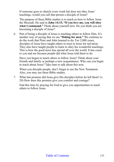If someone goes to church every week but does not obey Jesus' teachings, would you call that person a disciple of Jesus?

The purpose of these Bible studies is to teach us how to follow Jesus the Messiah. He said in **John 14:15, "If you love me, you will obey what I command."** Think about yourself now. Do you think you are becoming a disciple of Jesus?

6. Part of being a disciple of Jesus is teaching others to follow Him. It's another way of saying that we are **"fishing for men."** We continue to do the work that Peter and John learned to do. For 2,000 years, disciples of Jesus have taught others to trust in Jesus for salvation. They also have taught people to learn to obey his wonderful teachings. This is how the good news has spread all over the world. It has come to you and me because people did what Jesus told them to do.

Have you begun to teach others to follow Jesus? Think about your friends and family or perhaps a new acquaintance. Who can you begin to teach about Jesus? Take time to talk about this now.

When you disciple people, don't forget to use the New Testament. Also, you may use these Bible studies.

7. What last promise did Jesus give His disciples before he left them? (v. 20) How does this promise give you comfort and courage?

End this time by praying for God to give you opportunities to teach others to follow Jesus.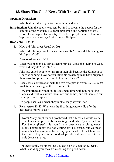# **48. Share The Good News With Those Close To You**

#### **Opening Discussion:**

Who first introduced you to Jesus Christ and how?

**Introduction:** John the baptist was sent by God to prepare the people for the coming of the Messiah. He began preaching and baptizing shortly before Jesus began His ministry. Crowds of people came to him to be baptized and some stayed with him as disciples.

#### **Read John 1: 29-34**

1. How did John greet Jesus? (v. 29)

Who did John say that Jesus was in verse 34? How did John recognize him? (vs. 32-33)

### **Now read verses 35-51.**

2. When two of John's disciples heard him call Jesus the "Lamb of God," what did they do? (vs. 36-37)

John had called people to turn from their sin because the Kingdom of God was coming. How do you think his preaching may have prepared these two disciples to become followers of Jesus?

3. Read Jesus' conversation with the two disciples in verses 37-39. What invitation did Jesus give them in verse 39?

How important do you think it is to spend time with non-believing friends and relatives, invite them into our homes, and let them see our lives up close? Explain.

Do people see Jesus when they look closely at your life?

4. Read verses 40-42. What was the first thing Andrew did after he decided to follow Jesus?

**Note:** Many prophets had prophesied that a Messiah would come. The Jewish people had been waiting hundreds of years for Him. For Simon (Peter) this would have been very exciting news! Many people today are not waiting for a Messiah, but we must remember that everyone has a very great need to be set free from their sin. They are living as dead people and need the life that only Jesus can give.

Are there family members that you can help to get to know Jesus? What is holding you back from sharing this good news?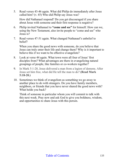5. Read verses 43-46 again. What did Philip do immediately after Jesus called him? (v. 45) Who did Philip say Jesus was?

How did Nathanael respond? Do you get discouraged if you share about Jesus with someone and their first response is negative?

- 6. Philip invited Nathanael to **"come and see"** for himself. How can we, using the New Testament, also invite people to "come and see" who Jesus is?
- 7. Read verses 47-51 again. What changed Nathanael's unbelief to belief?

When you share the good news with someone, do you believe that Jesus can truly enter their life and change them? Why is it important to believe this if we want to be effective evangelists?

- 8. Look at verse 44 again. What town were all four of Jesus' first disciples from? What advantages are there in evangelizing natural groupings of people, like families or co-workers together?
- 9. In Mark 5:1-20, Jesus delivered a man from a legion of demons. After Jesus set him free, what did He tell the man to do? **(Read Mark 5:18-20.)**
- 10. Sometimes we think of evangelism as something we go away to another place to do with strangers. Do you have family members, neighbors, or friends that you have never shared the good news with? What holds you back?

Think of someone in particular whom you will commit to talk with this next week. Pray now and ask God to give you boldness, wisdom, and opportunities to share Jesus with this person.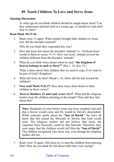# **49. Teach Children To Love and Serve Jesus**

#### **Opening Discussion:**

At what age do you think children should be taught about Jesus? Can they understand spiritual truth at a young age, or should we wait until they're older?

#### **Read Mark 10:13-16.**

1. Read verse 13 again. When people brought little children to Jesus, how did the disciples respond?

Why do you think they responded this way?

- 2. How did Jesus feel about the disciples' attitude? (v. 14) Read Jesus' words to them in verses 14-15. How was Jesus' attitude toward the children different from the disciples' attitude?
- 3. What do you think Jesus meant when he said, **"the kingdom of heaven belongs to such as these?"** (See v. 14, also 15.)

What is there about little children that we need to copy if we want to be part of God's Kingdom?

- 4. What did Jesus do then? (Read v. 16.) How did He feel toward the children?
- 5. **Now read Mark 9:36-37.** How does Jesus show honor to little children in these verses?
- 6. **Turn to Matthew 21 and read verses 14-17**. What did the religious leaders hear the children shouting in the temple? How did they feel about this?

**Note:** Hundreds of years before Jesus was born, prophets had said that a Savior would come and He would be David's descendent. When someone spoke about the **"Son of David,"** the Jews all knew that this meant the Messiah, or Savior, that God would send. The religious leaders did not believe that Jesus, the carpenter from Nazareth, could be that Messiah. Therefore, they were angry that the children would call Him the **"Son of David."**  The children recognized who Jesus was, even though the religious leaders did not.

7. Read verse 16 again. Did Jesus try to stop the children from praising Him? How do you think He felt about what they were saying?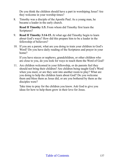Do you think the children should have a part in worshiping Jesus? Are they welcome in your worship times?

8. Timothy was a disciple of the Apostle Paul. As a young man, he became a leader in the early church.

**Read II Timothy 1:5.** From whom did Timothy first learn the Scriptures?

- 9. **Read II Timothy 3:14-15.** At what age did Timothy begin to learn about God's ways? How did this prepare him to be a leader in the fellowship of believers?
- 10. If you are a parent, what are you doing to train your children in God's Word? Do you have daily reading of the Scriptures and prayer in your home?

If you have nieces or nephews, grandchildren, or other children who are close to you, do you look for ways to teach them the Word of God?

11. Are children welcomed in your fellowship, or do parents feel they should not bring their children? Are children being taught God's Word when you meet, or are they sent into another room to play? What are you doing to help the children learn about God? Do you welcome them and bless them as Jesus did, or are you bothered by them as the disciples were?

Take time to pray for the children you know. Ask God to give you ideas for how to help them grow in their love for Jesus.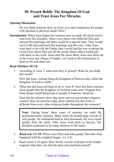# **50. Preach Boldly The Kingdom Of God and Trust Jesus For Miracles**

#### **Opening Discussion:**

Do you think miracles show us God's love and compassion for people with spiritual or physical needs? How?

**Introduction:** When Jesus began His ministry here on earth, He chose twelve men to be His disciples. There were others who followed Him and obeyed His teachings, but these would be a special team. They would travel with Him and learn His teachings and His ways. After Jesus went back to be with the Father, they would lead the way in taking the Good News about Him into all the world. Many others would join with them in this work. Soon after He chose them, Jesus sent them out to the towns and villages of Judah. Let's look at His instructions to them as He sent them out:

#### **Read Matthew 10:7-8.**

1. According to verse 7, what were they to preach? What do you think this meant?

How did Jesus' coming bring the Kingdom of Heaven (also called the Kingdom of God) to earth?

2. What else did Jesus tell them to do in verse 8? How did these miracles show people that the Kingdom of God had come near? Imagine how these things would bring hope to people in hopeless situations.

How did the miracles show that Jesus was not just another religious teacher? How do miracles today show unbelievers that Jesus is different from every other religious leader throughout the centuries?

**Note:** During Jesus' three years of ministry on earth He performed many miracles. Many times He healed large crowds of sick people. He multiplied food to feed thousands. He even raised people from the dead. After Jesus went back to heaven, His disciples continued to do many miracles in His name.

- 3. **Read Acts 3:1-10.** Where were Peter and John going? Describe what happened with the crippled beggar. (vs. 2-8)
- 4. Read verses 9-10 again. How did the crowds of people in the temple respond when they saw that the lame man had been healed?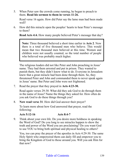5. When Peter saw the crowds come running, he began to preach to them. **Read his sermon to them in verses 11-26.**

Read verse 16 again. How did Peter say the lame man had been made well?

6. How did this miracle open the peoples' hearts to hear Peter's message to them?

**Read Acts 4:4.** How many people believed Peter's message that day?

**Note:** Three thousand believed a short time earlier in **Acts 2**. Now there is a total of five thousand men who believe. This would mean that two thousand men believed at this time. Women and children were not usually counted, so the total number of people who believed was probably much higher.

The religious leaders did not like Peter and John preaching in Jesus' name. They had them arrested and put in prison. They wanted to punish them, but they didn't know what to do. Everyone in Jerusalem knew that a great miracle had been done through them. So, they threatened Peter and John and commanded them to never speak again in Jesus' name. But Peter and John were not frightened.

7. Read the prayer that they prayed in **Acts 4:23-30.**

Read again verses 29-30. What did they ask God to do through them in the name of Jesus? Name the things they asked for. How often do you ask God to do these things through you?

8. **Now read verse 31**. How did God answer their prayer?

To learn more about how God answered that prayer, read the following:

#### **Acts 5:12-16 Acts 8:4-7**

9. Think about your own life. Do you desire more boldness in speaking the Word of God? Do you long to see miracles happen to show the truth and power of the Word you are proclaiming? Do you want God to use YOU to bring both spiritual and physical healing to others?

You, too can pray the prayer of the apostles in Acts 4:29-30. The same Holy Spirit who empowered them can daily fill and empower you to bring the Kingdom of God to those around you. Will you ask Him for that now?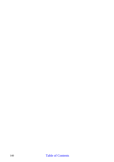### Table of Contents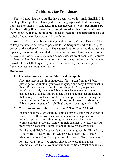### **Guidelines for Translators**

You will note that these studies have been written in simple English. It is our hope that speakers of many different languages will find them easy to translate into their own language. **It is not necessary to ask permission before translating them.** However, if you do translate them, we would like to know about it. It may be possible for us to include your translation on our website (www.learnhisways.com) in the future.

We also ask that you follow a few guidelines in translating. These will help to keep the studies as close as possible to the Scriptures and to the original design of the writer of the study. The suggestions for what words to use are especially important if these studies are to be used with those who are not yet believers or new believers. As much as possible, we want people to be drawn *to* Jesus, rather than become angry and turn away before they have even looked into what He taught. If you have questions as you translate, please feel free to contact us through the website.

#### **Guidelines:**

#### **1. Use actual words from the Bible for direct quotes.**

Anytime there is anything in quotes, if it is taken from the Bible, please go to the Bible in your own language and copy directly what is there. Do not translate from the English quote. Also, as you are translating a study, keep the Bible in your language open to the passage being studied, and try to use the same terms that are used in that passage as much as possible. For example, when translating the study from John 15 on abiding in Jesus, use the same words as the Bible in your language for "abiding" and for "bearing much fruit."

#### **2. Words to use for "Bible," "Christian," "God,"and "Christ."**

In some countries (especially Muslim countries), using these words or some form of these words can cause unnecessary anger and offense. Some people still think about religious wars when they hear these words, and they associate them with their enemies. Therefore, in your translating please think carefully about the words that you use.

For the word "Bible," use words from your language for "Holy Book," "The Word," God's Word," or "Old or New Testament." In many Muslim countries, "Injil" is a good word to use for "New Testament."

For the word "God," you should choose the word that is most commonly used by believers in your country. Some Muslim countries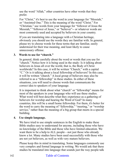use the word "Allah," other countries have other words that they prefer.

For "Christ," it's best to use the word in your language for "Messiah," or "Anointed One." This is the meaning of the word "Christ." For "Christian," use words from your language for "follower of Jesus the Messiah," "follower of Jesus," or "believer"-- or whatever words are most commonly used and accepted by believers in your country.

If you are translating into a language with a Christian heritage, obviously you should use the words they are familiar with. In general, please try to choose words for these terms that are familiar, easily understood for their true meaning, and least likely to cause unnecessary offense.

#### **3. Words to use for "church."**

In general, think carefully about the word or words that you use for "church." Notice how it is being used in the study: Is it talking about believers in Jesus all over the world, that is, the Body of Christ worldwide? In this case, it will be written "Church," with a capital "C." Or is it talking about a local fellowship of believers? In this case, it will be written "church." A local group of believers may also be referred to as a "fellowship" in these studies. In either of these situations, you will need to choose words that communicate the correct idea to speakers of your language.

It is important to think about what "church" or "fellowship" means for most of the speakers in your language who will use these studies. What word will best describe what they experience as a gathering of believers for worship and hearing the Word of God? In many countries, this will be a small home fellowship. For them, it's better for the word to carry the meaning of "fellowship," "meeting," or "worship service," rather than the meaning of a big group that meets in a special building.

#### **4. Use simple language.**

We have tried to use simple sentences in the English to make these Bible studies easy to understand for anyone, including those who have no knowledge of the Bible and those who have limited education. We want them to be a help to ALL people—not just those who already know a lot. Many studies have been used successfully with those who are not yet believers, as well as with very mature believers.

Please keep this in mind in translating. Some languages commonly use very complex and formal language in writing. We would ask that these studies be translated into language that sounds just the way people talk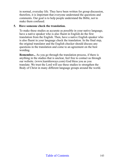in normal, everyday life. They have been written for group discussion, therefore, it is important that everyone understand the questions and comments. Our goal is to help people understand the Bible, not to make them confused.

#### **5. Have someone check the translation.**

To make these studies as accurate as possible in your native language, have a native speaker who is also fluent in English do the first translation from the English. Then, have a native English speaker who is also fluent in your language check the translation. In the final step, the original translator and the English checker should discuss any questions in the translation and come to an agreement on the best wording.

**Remember...** As you go through the translation process, if there is anything in the studies that is unclear, feel free to contact us through our website. (www.learnhisways.com) God bless you as you translate. We trust the Lord will use these studies to strengthen the Body of Christ in many different language groups around the world.